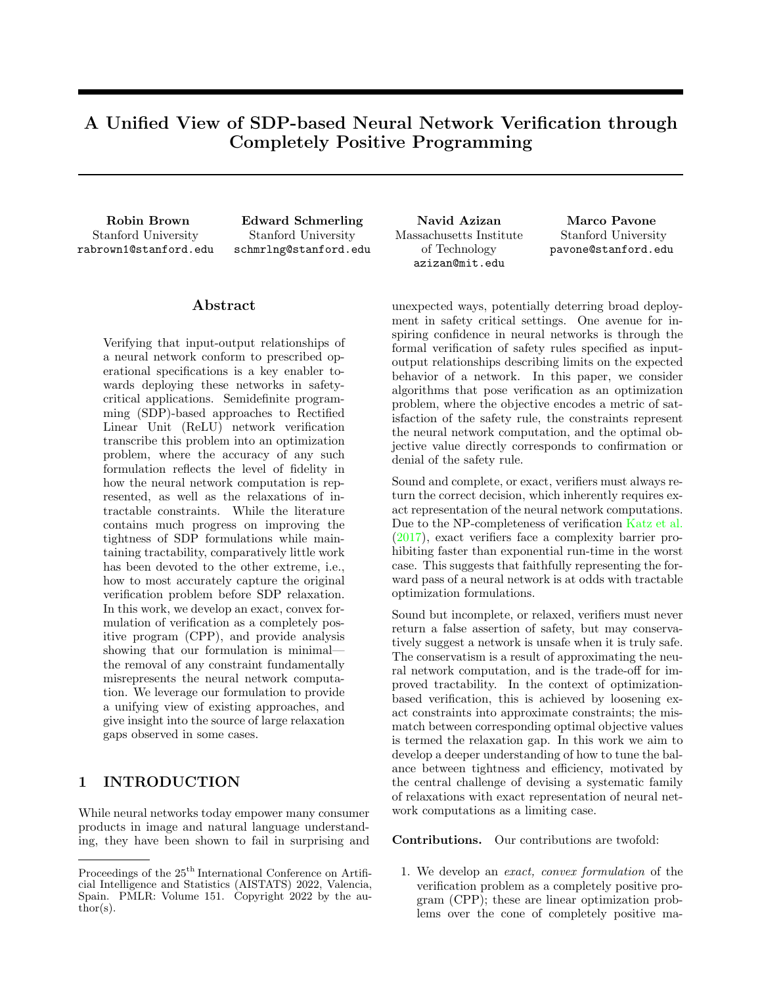# A Unified View of SDP-based Neural Network Verification through Completely Positive Programming

Stanford University rabrown1@stanford.edu

Robin Brown Edward Schmerling Navid Azizan Marco Pavone Stanford University schmrlng@stanford.edu

## ${\rm Abstract}$

Verifying that input-output relationships of a neural network conform to prescribed operational specifications is a key enabler towards deploying these networks in safetycritical applications. Semidefinite programming (SDP)-based approaches to Rectified Linear Unit (ReLU) network verification transcribe this problem into an optimization problem, where the accuracy of any such formulation reflects the level of fidelity in how the neural network computation is represented, as well as the relaxations of intractable constraints. While the literature contains much progress on improving the tightness of SDP formulations while maintaining tractability, comparatively little work has been devoted to the other extreme, i.e., how to most accurately capture the original verification problem before SDP relaxation. In this work, we develop an exact, convex formulation of verification as a completely positive program (CPP), and provide analysis showing that our formulation is minimal the removal of any constraint fundamentally misrepresents the neural network computation. We leverage our formulation to provide a unifying view of existing approaches, and give insight into the source of large relaxation gaps observed in some cases.

# 1 INTRODUCTION

While neural networks today empower many consumer products in image and natural language understanding, they have been shown to fail in surprising and Massachusetts Institute of Technology azizan@mit.edu

Stanford University pavone@stanford.edu

unexpected ways, potentially deterring broad deployment in safety critical settings. One avenue for inspiring confidence in neural networks is through the formal verification of safety rules specified as inputoutput relationships describing limits on the expected behavior of a network. In this paper, we consider algorithms that pose verification as an optimization problem, where the objective encodes a metric of satisfaction of the safety rule, the constraints represent the neural network computation, and the optimal objective value directly corresponds to confirmation or denial of the safety rule.

Sound and complete, or exact, verifiers must always return the correct decision, which inherently requires exact representation of the neural network computations. Due to the NP-completeness of verification [Katz et al.](#page-9-0) [\(2017\)](#page-9-0), exact verifiers face a complexity barrier prohibiting faster than exponential run-time in the worst case. This suggests that faithfully representing the forward pass of a neural network is at odds with tractable optimization formulations.

Sound but incomplete, or relaxed, verifiers must never return a false assertion of safety, but may conservatively suggest a network is unsafe when it is truly safe. The conservatism is a result of approximating the neural network computation, and is the trade-off for improved tractability. In the context of optimizationbased verification, this is achieved by loosening exact constraints into approximate constraints; the mismatch between corresponding optimal objective values is termed the relaxation gap. In this work we aim to develop a deeper understanding of how to tune the balance between tightness and efficiency, motivated by the central challenge of devising a systematic family of relaxations with exact representation of neural network computations as a limiting case.

Contributions. Our contributions are twofold:

1. We develop an exact, convex formulation of the verification problem as a completely positive program (CPP); these are linear optimization problems over the cone of completely positive ma-

Proceedings of the  $25<sup>th</sup>$  International Conference on Artificial Intelligence and Statistics (AISTATS) 2022, Valencia, Spain. PMLR: Volume 151. Copyright 2022 by the au- $\bar{\text{thor}}(s)$ .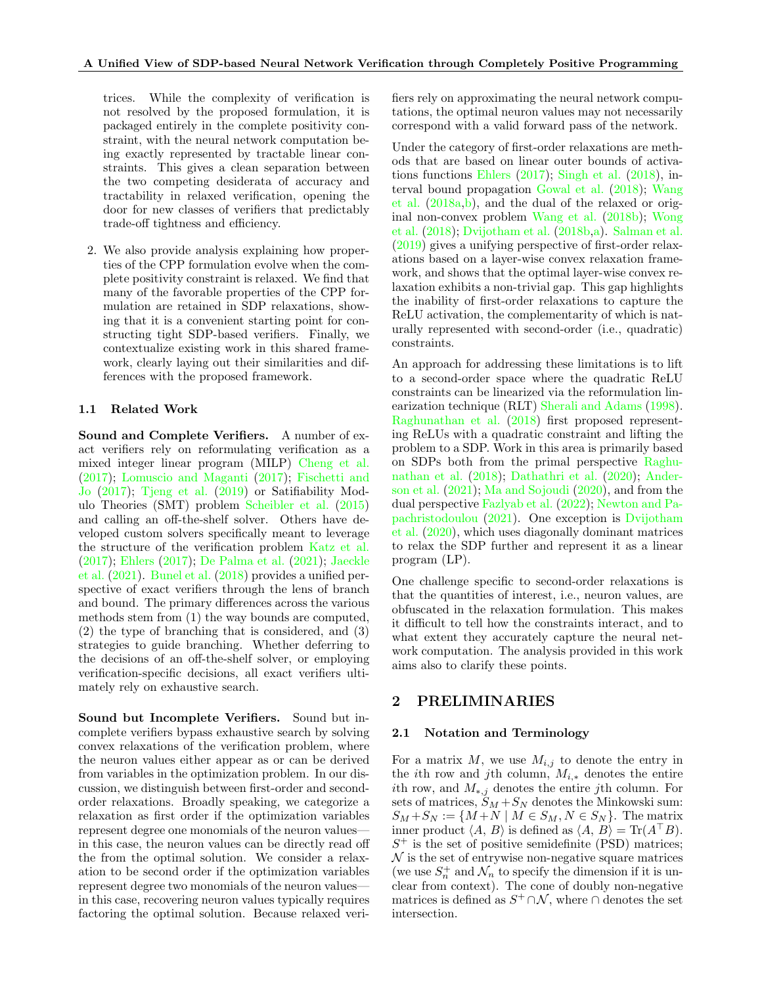trices. While the complexity of verification is not resolved by the proposed formulation, it is packaged entirely in the complete positivity constraint, with the neural network computation being exactly represented by tractable linear constraints. This gives a clean separation between the two competing desiderata of accuracy and tractability in relaxed verification, opening the door for new classes of verifiers that predictably trade-off tightness and efficiency.

2. We also provide analysis explaining how properties of the CPP formulation evolve when the complete positivity constraint is relaxed. We find that many of the favorable properties of the CPP formulation are retained in SDP relaxations, showing that it is a convenient starting point for constructing tight SDP-based verifiers. Finally, we contextualize existing work in this shared framework, clearly laying out their similarities and differences with the proposed framework.

### 1.1 Related Work

Sound and Complete Verifiers. A number of exact verifiers rely on reformulating verification as a mixed integer linear program (MILP) [Cheng et al.](#page-9-1) [\(2017\)](#page-9-1); [Lomuscio and Maganti](#page-9-2) [\(2017\)](#page-9-2); [Fischetti and](#page-9-3) [Jo](#page-9-3) [\(2017\)](#page-9-3); [Tjeng et al.](#page-10-0) [\(2019\)](#page-10-0) or Satifiability Modulo Theories (SMT) problem [Scheibler et al.](#page-10-1) [\(2015\)](#page-10-1) and calling an off-the-shelf solver. Others have developed custom solvers specifically meant to leverage the structure of the verification problem [Katz et al.](#page-9-0) [\(2017\)](#page-9-0); [Ehlers](#page-9-4) [\(2017\)](#page-9-4); [De Palma et al.](#page-9-5) [\(2021\)](#page-9-5); [Jaeckle](#page-9-6) [et al.](#page-9-6) [\(2021\)](#page-9-6). [Bunel et al.](#page-9-7) [\(2018\)](#page-9-7) provides a unified perspective of exact verifiers through the lens of branch and bound. The primary differences across the various methods stem from (1) the way bounds are computed, (2) the type of branching that is considered, and (3) strategies to guide branching. Whether deferring to the decisions of an off-the-shelf solver, or employing verification-specific decisions, all exact verifiers ultimately rely on exhaustive search.

Sound but Incomplete Verifiers. Sound but incomplete verifiers bypass exhaustive search by solving convex relaxations of the verification problem, where the neuron values either appear as or can be derived from variables in the optimization problem. In our discussion, we distinguish between first-order and secondorder relaxations. Broadly speaking, we categorize a relaxation as first order if the optimization variables represent degree one monomials of the neuron values in this case, the neuron values can be directly read off the from the optimal solution. We consider a relaxation to be second order if the optimization variables represent degree two monomials of the neuron values in this case, recovering neuron values typically requires factoring the optimal solution. Because relaxed verifiers rely on approximating the neural network computations, the optimal neuron values may not necessarily correspond with a valid forward pass of the network.

Under the category of first-order relaxations are methods that are based on linear outer bounds of activations functions [Ehlers](#page-9-4) [\(2017\)](#page-9-4); [Singh et al.](#page-10-2) [\(2018\)](#page-10-2), interval bound propagation [Gowal et al.](#page-9-8) [\(2018\)](#page-9-8); [Wang](#page-10-3) [et al.](#page-10-3) [\(2018a](#page-10-3)[,b\)](#page-10-4), and the dual of the relaxed or original non-convex problem [Wang et al.](#page-10-4) [\(2018b\)](#page-10-4); [Wong](#page-10-5) [et al.](#page-10-5) [\(2018\)](#page-10-5); [Dvijotham et al.](#page-9-9) [\(2018b](#page-9-9)[,a\)](#page-9-10). [Salman et al.](#page-10-6) [\(2019\)](#page-10-6) gives a unifying perspective of first-order relaxations based on a layer-wise convex relaxation framework, and shows that the optimal layer-wise convex relaxation exhibits a non-trivial gap. This gap highlights the inability of first-order relaxations to capture the ReLU activation, the complementarity of which is naturally represented with second-order (i.e., quadratic) constraints.

An approach for addressing these limitations is to lift to a second-order space where the quadratic ReLU constraints can be linearized via the reformulation linearization technique (RLT) [Sherali and Adams](#page-10-7) [\(1998\)](#page-10-7). [Raghunathan et al.](#page-10-8) [\(2018\)](#page-10-8) first proposed representing ReLUs with a quadratic constraint and lifting the problem to a SDP. Work in this area is primarily based on SDPs both from the primal perspective [Raghu](#page-10-8)[nathan et al.](#page-10-8) [\(2018\)](#page-10-8); [Dathathri et al.](#page-9-11) [\(2020\)](#page-9-11); [Ander](#page-9-12)[son et al.](#page-9-12) [\(2021\)](#page-9-12); [Ma and Sojoudi](#page-9-13) [\(2020\)](#page-9-13), and from the dual perspective [Fazlyab et al.](#page-9-14) [\(2022\)](#page-9-14); [Newton and Pa](#page-9-15)[pachristodoulou](#page-9-15) [\(2021\)](#page-9-15). One exception is [Dvijotham](#page-9-16) [et al.](#page-9-16) [\(2020\)](#page-9-16), which uses diagonally dominant matrices to relax the SDP further and represent it as a linear program (LP).

One challenge specific to second-order relaxations is that the quantities of interest, i.e., neuron values, are obfuscated in the relaxation formulation. This makes it difficult to tell how the constraints interact, and to what extent they accurately capture the neural network computation. The analysis provided in this work aims also to clarify these points.

# 2 PRELIMINARIES

#### 2.1 Notation and Terminology

For a matrix  $M$ , we use  $M_{i,j}$  to denote the entry in the *i*th row and *j*th column,  $M_{i,*}$  denotes the entire ith row, and  $M_{*,j}$  denotes the entire jth column. For sets of matrices,  $S_M + S_N$  denotes the Minkowski sum:  $S_M + S_N := \{M + N \mid M \in S_M, N \in S_N\}.$  The matrix inner product  $\langle A, B \rangle$  is defined as  $\langle A, B \rangle = \text{Tr}(A^\top B)$ .  $S^+$  is the set of positive semidefinite (PSD) matrices;  $\mathcal N$  is the set of entrywise non-negative square matrices (we use  $S_n^+$  and  $\mathcal{N}_n$  to specify the dimension if it is unclear from context). The cone of doubly non-negative matrices is defined as  $S^+\cap\mathcal{N}$ , where  $\cap$  denotes the set intersection.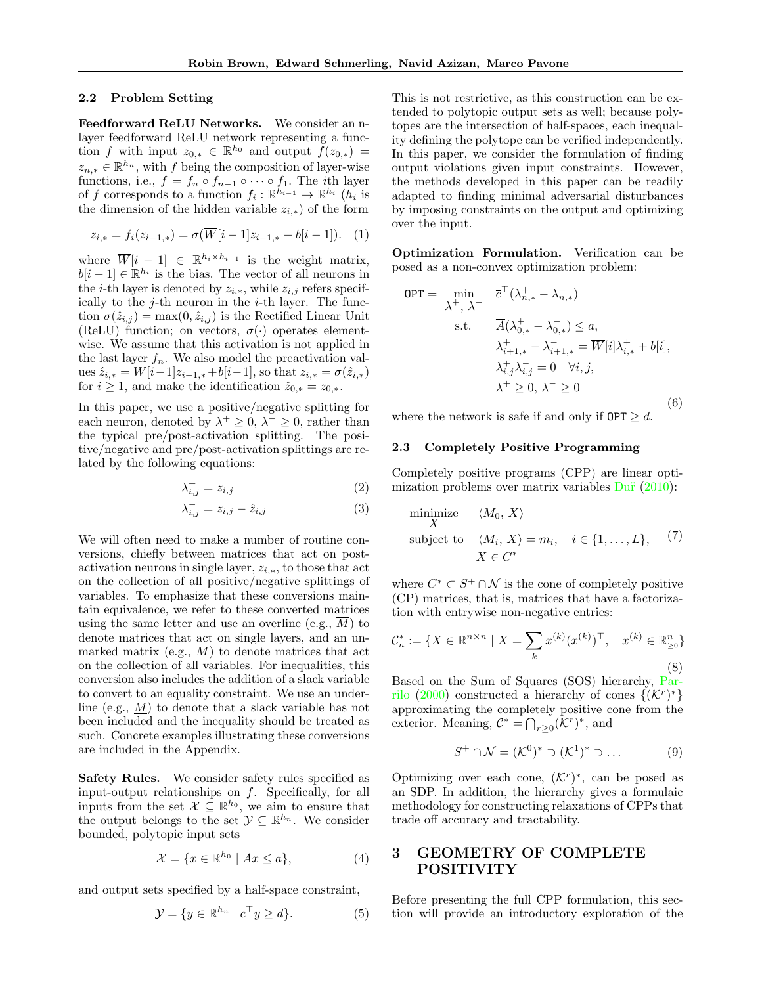#### 2.2 Problem Setting

Feedforward ReLU Networks. We consider an nlayer feedforward ReLU network representing a function f with input  $z_{0,*} \in \mathbb{R}^{h_0}$  and output  $\widetilde{f}(z_{0,*}) =$  $z_{n,*} \in \mathbb{R}^{h_n}$ , with f being the composition of layer-wise functions, i.e.,  $f = f_n \circ f_{n-1} \circ \cdots \circ f_1$ . The *i*th layer of f corresponds to a function  $f_i: \mathbb{R}^{h_{i-1}} \to \mathbb{R}^{h_i}$  ( $h_i$  is the dimension of the hidden variable  $z_{i,*}$ ) of the form

$$
z_{i,*} = f_i(z_{i-1,*}) = \sigma(\overline{W}[i-1]z_{i-1,*} + b[i-1]). \quad (1)
$$

where  $\overline{W}[i-1] \in \mathbb{R}^{h_i \times h_{i-1}}$  is the weight matrix,  $b[i-1] \in \mathbb{R}^{h_i}$  is the bias. The vector of all neurons in the *i*-th layer is denoted by  $z_{i,*}$ , while  $z_{i,j}$  refers specifically to the  $j$ -th neuron in the  $i$ -th layer. The function  $\sigma(\hat{z}_{i,j}) = \max(0, \hat{z}_{i,j})$  is the Rectified Linear Unit (ReLU) function; on vectors,  $\sigma(\cdot)$  operates elementwise. We assume that this activation is not applied in the last layer  $f_n$ . We also model the preactivation values  $\hat{z}_{i,*} = \overline{W}[i-1]z_{i-1,*} + b[i-1]$ , so that  $z_{i,*} = \sigma(\hat{z}_{i,*})$ for  $i \geq 1$ , and make the identification  $\hat{z}_{0,*} = z_{0,*}$ .

In this paper, we use a positive/negative splitting for each neuron, denoted by  $\lambda^+ \geq 0$ ,  $\lambda^- \geq 0$ , rather than the typical pre/post-activation splitting. The positive/negative and pre/post-activation splittings are related by the following equations:

$$
\lambda_{i,j}^+ = z_{i,j} \tag{2}
$$

$$
\lambda_{i,j}^- = z_{i,j} - \hat{z}_{i,j} \tag{3}
$$

We will often need to make a number of routine conversions, chiefly between matrices that act on postactivation neurons in single layer,  $z_{i,*}$ , to those that act on the collection of all positive/negative splittings of variables. To emphasize that these conversions maintain equivalence, we refer to these converted matrices using the same letter and use an overline (e.g.,  $\overline{M}$ ) to denote matrices that act on single layers, and an unmarked matrix (e.g.,  $M$ ) to denote matrices that act on the collection of all variables. For inequalities, this conversion also includes the addition of a slack variable to convert to an equality constraint. We use an underline (e.g., M) to denote that a slack variable has not been included and the inequality should be treated as such. Concrete examples illustrating these conversions are included in the Appendix.

Safety Rules. We consider safety rules specified as input-output relationships on  $f$ . Specifically, for all inputs from the set  $\mathcal{X} \subseteq \mathbb{R}^{h_0}$ , we aim to ensure that the output belongs to the set  $\mathcal{Y} \subseteq \mathbb{R}^{h_n}$ . We consider bounded, polytopic input sets

$$
\mathcal{X} = \{x \in \mathbb{R}^{h_0} \mid \overline{A}x \le a\},\tag{4}
$$

and output sets specified by a half-space constraint,

$$
\mathcal{Y} = \{ y \in \mathbb{R}^{h_n} \mid \overline{c}^\top y \ge d \}. \tag{5}
$$

This is not restrictive, as this construction can be extended to polytopic output sets as well; because polytopes are the intersection of half-spaces, each inequality defining the polytope can be verified independently. In this paper, we consider the formulation of finding output violations given input constraints. However, the methods developed in this paper can be readily adapted to finding minimal adversarial disturbances by imposing constraints on the output and optimizing over the input.

Optimization Formulation. Verification can be posed as a non-convex optimization problem:

<span id="page-2-0"></span>
$$
OPT = \min_{\lambda^+, \lambda^-} \overline{c}^\top (\lambda_{n,*}^+ - \lambda_{n,*}^-)
$$
  
s.t. 
$$
\overline{A}(\lambda_{0,*}^+ - \lambda_{0,*}^-) \le a,
$$

$$
\lambda_{i+1,*}^+ - \lambda_{i+1,*}^- = \overline{W}[i] \lambda_{i,*}^+ + b[i],
$$

$$
\lambda_{i,j}^+ \lambda_{i,j}^- = 0 \quad \forall i, j,
$$

$$
\lambda^+ \ge 0, \lambda^- \ge 0
$$
(6)

where the network is safe if and only if  $\text{OPT} \geq d$ .

### 2.3 Completely Positive Programming

Completely positive programs (CPP) are linear optimization problems over matrix variables  $\text{D} \ddot{\mathbf{u}}$  [\(2010\)](#page-9-17):

$$
\begin{array}{ll}\n\text{minimize} & \langle M_0, X \rangle \\
\text{subject to} & \langle M_i, X \rangle = m_i, \quad i \in \{1, \dots, L\}, \quad (7) \\
& X \in C^* \n\end{array}
$$

where  $C^* \subset S^+ \cap \mathcal{N}$  is the cone of completely positive (CP) matrices, that is, matrices that have a factorization with entrywise non-negative entries:

$$
\mathcal{C}_n^* := \{ X \in \mathbb{R}^{n \times n} \mid X = \sum_k x^{(k)} (x^{(k)})^\top, \quad x^{(k)} \in \mathbb{R}^n_{\geq 0} \}
$$
\n(8)

Based on the Sum of Squares (SOS) hierarchy, [Par](#page-10-9)[rilo](#page-10-9) [\(2000\)](#page-10-9) constructed a hierarchy of cones  $\{(\mathcal{K}^r)^*\}$ approximating the completely positive cone from the exterior. Meaning,  $C^* = \bigcap_{r \geq 0} (\mathcal{K}^r)^*$ , and

<span id="page-2-1"></span>
$$
S^+ \cap \mathcal{N} = (\mathcal{K}^0)^* \supset (\mathcal{K}^1)^* \supset \dots \tag{9}
$$

Optimizing over each cone,  $(K<sup>r</sup>)<sup>*</sup>$ , can be posed as an SDP. In addition, the hierarchy gives a formulaic methodology for constructing relaxations of CPPs that trade off accuracy and tractability.

# 3 GEOMETRY OF COMPLETE POSITIVITY

Before presenting the full CPP formulation, this section will provide an introductory exploration of the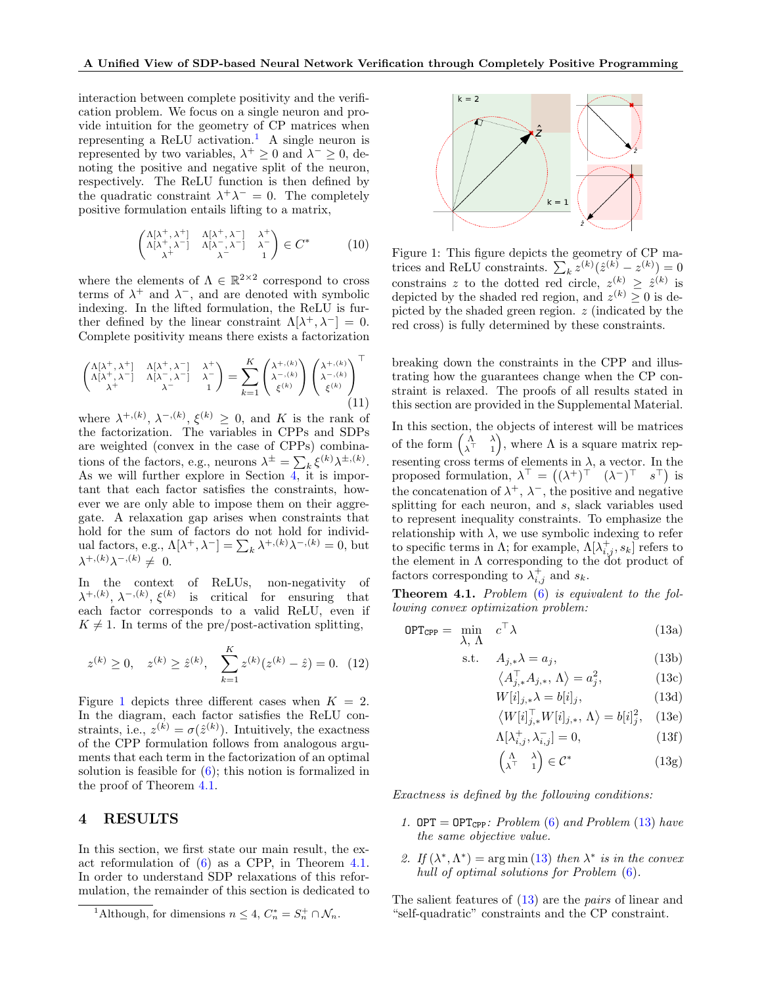interaction between complete positivity and the verification problem. We focus on a single neuron and provide intuition for the geometry of CP matrices when representing a ReLU activation.[1](#page-3-0) A single neuron is represented by two variables,  $\lambda^+ \geq 0$  and  $\lambda^- \geq 0$ , denoting the positive and negative split of the neuron, respectively. The ReLU function is then defined by the quadratic constraint  $\lambda^+ \lambda^- = 0$ . The completely positive formulation entails lifting to a matrix,

$$
\begin{pmatrix}\n\Lambda[\lambda^+, \lambda^+] & \Lambda[\lambda^+, \lambda^-] & \lambda^+ \\
\Lambda[\lambda^+, \lambda^-] & \Lambda[\lambda^-, \lambda^-] & \lambda^- \\
\lambda^+ & \lambda^- & 1\n\end{pmatrix} \in C^* \tag{10}
$$

where the elements of  $\Lambda \in \mathbb{R}^{2 \times 2}$  correspond to cross terms of  $\lambda^+$  and  $\lambda^-$ , and are denoted with symbolic indexing. In the lifted formulation, the ReLU is further defined by the linear constraint  $\Lambda[\lambda^+, \lambda^-] = 0$ . Complete positivity means there exists a factorization

<span id="page-3-10"></span>
$$
\begin{pmatrix}\n\Lambda[\lambda^+, \lambda^+] & \Lambda[\lambda^+, \lambda^-] & \lambda^+ \\
\Lambda[\lambda^+, \lambda^-] & \Lambda[\lambda^-, \lambda^-] & \lambda^- \\
\lambda^+ & \lambda^- & 1\n\end{pmatrix} = \sum_{k=1}^K \begin{pmatrix}\n\lambda^{+, (k)} \\
\lambda^{-, (k)} \\
\xi^{(k)}\n\end{pmatrix} \begin{pmatrix}\n\lambda^{+, (k)} \\
\lambda^{-, (k)} \\
\xi^{(k)}\n\end{pmatrix}^\top (11)
$$

where  $\lambda^{+, (k)}, \lambda^{-, (k)}, \xi^{(k)} \geq 0$ , and K is the rank of the factorization. The variables in CPPs and SDPs are weighted (convex in the case of CPPs) combinations of the factors, e.g., neurons  $\lambda^{\pm} = \sum_{k} \xi^{(k)} \lambda^{\pm, (k)}$ . As we will further explore in Section  $\overline{4}$ , it is important that each factor satisfies the constraints, however we are only able to impose them on their aggregate. A relaxation gap arises when constraints that hold for the sum of factors do not hold for individual factors, e.g.,  $\Lambda[\lambda^+, \lambda^-] = \sum_k \lambda^{+, (k)} \lambda^{-, (k)} = 0$ , but  $\lambda^{+, (k)} \lambda^{-, (k)} \neq 0.$ 

In the context of ReLUs, non-negativity of  $\lambda^{+, (k)}, \lambda^{-, (k)}, \xi^{(k)}$  is critical for ensuring that each factor corresponds to a valid ReLU, even if  $K \neq 1$ . In terms of the pre/post-activation splitting,

<span id="page-3-11"></span>
$$
z^{(k)} \ge 0
$$
,  $z^{(k)} \ge \hat{z}^{(k)}$ ,  $\sum_{k=1}^{K} z^{(k)} (z^{(k)} - \hat{z}) = 0$ . (12)

Figure [1](#page-3-2) depicts three different cases when  $K = 2$ . In the diagram, each factor satisfies the ReLU constraints, i.e.,  $z^{(k)} = \sigma(\hat{z}^{(k)})$ . Intuitively, the exactness of the CPP formulation follows from analogous arguments that each term in the factorization of an optimal solution is feasible for  $(6)$ ; this notion is formalized in the proof of Theorem [4.1.](#page-3-3)

# <span id="page-3-1"></span>4 RESULTS

In this section, we first state our main result, the exact reformulation of [\(6\)](#page-2-0) as a CPP, in Theorem [4.1.](#page-3-3) In order to understand SDP relaxations of this reformulation, the remainder of this section is dedicated to

<span id="page-3-2"></span>

Figure 1: This figure depicts the geometry of CP matrices and ReLU constraints.  $\sum_k z^{(k)}(\hat{z}^{(k)} - z^{(k)}) = 0$ constrains z to the dotted red circle,  $z^{(k)} \geq \hat{z}^{(k)}$  is depicted by the shaded red region, and  $z^{(k)} \geq 0$  is depicted by the shaded green region. z (indicated by the red cross) is fully determined by these constraints.

breaking down the constraints in the CPP and illustrating how the guarantees change when the CP constraint is relaxed. The proofs of all results stated in this section are provided in the Supplemental Material.

In this section, the objects of interest will be matrices of the form  $\begin{pmatrix} \Lambda & \lambda \\ \lambda^T & 1 \end{pmatrix}$  $\begin{pmatrix} \Lambda & \lambda \\ \lambda^T & 1 \end{pmatrix}$ , where  $\Lambda$  is a square matrix representing cross terms of elements in  $\lambda$ , a vector. In the proposed formulation,  $\lambda^{\top} = ((\lambda^+)^{\top} (\lambda^-)^{\top} s^{\top})$  is the concatenation of  $\lambda^+$ ,  $\lambda^-$ , the positive and negative splitting for each neuron, and s, slack variables used to represent inequality constraints. To emphasize the relationship with  $\lambda$ , we use symbolic indexing to refer to specific terms in  $\Lambda$ ; for example,  $\Lambda[\lambda_{i,j}^+, s_k]$  refers to the element in  $\Lambda$  corresponding to the dot product of factors corresponding to  $\lambda_{i,j}^+$  and  $s_k$ .

<span id="page-3-3"></span>**Theorem 4.1.** Problem  $(6)$  is equivalent to the following convex optimization problem:

$$
OPT_{\text{CPP}} = \min_{\lambda, \Lambda} c^{\top} \lambda \tag{13a}
$$

$$
s.t. \tA_{j,*}\lambda = a_j, \t(13b)
$$

<span id="page-3-4"></span>
$$
\left\langle A_{j,*}^{\top} A_{j,*}, \Lambda \right\rangle = a_j^2,\tag{13c}
$$

<span id="page-3-9"></span><span id="page-3-7"></span><span id="page-3-5"></span>
$$
W[i]_{j,*}\lambda = b[i]_j,\tag{13d}
$$

$$
\left\langle W[i]_{j,*}^{\top} W[i]_{j,*}, \Lambda \right\rangle = b[i]_j^2, \quad (13e)
$$

<span id="page-3-12"></span><span id="page-3-8"></span><span id="page-3-6"></span>
$$
\Lambda[\lambda_{i,j}^+, \lambda_{i,j}^-] = 0,\tag{13f}
$$

$$
\begin{pmatrix} \Lambda & \lambda \\ \lambda^{\top} & 1 \end{pmatrix} \in \mathcal{C}^* \tag{13g}
$$

Exactness is defined by the following conditions:

- 1. OPT = OPT<sub>CPP</sub>: Problem [\(6\)](#page-2-0) and Problem [\(13\)](#page-3-4) have the same objective value.
- 2. If  $(\lambda^*, \Lambda^*)$  = arg min [\(13\)](#page-3-4) then  $\lambda^*$  is in the convex hull of optimal solutions for Problem  $(6)$ .

The salient features of [\(13\)](#page-3-4) are the pairs of linear and "self-quadratic" constraints and the CP constraint.

<span id="page-3-0"></span><sup>&</sup>lt;sup>1</sup>Although, for dimensions  $n \leq 4$ ,  $C_n^* = S_n^+ \cap \mathcal{N}_n$ .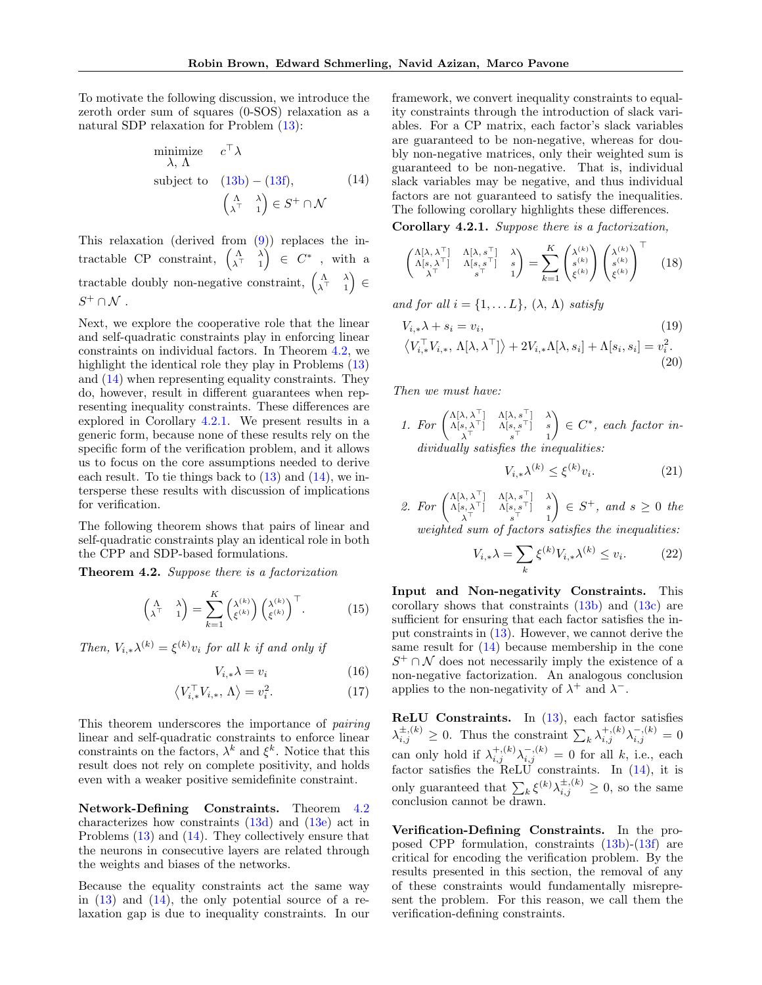To motivate the following discussion, we introduce the zeroth order sum of squares (0-SOS) relaxation as a natural SDP relaxation for Problem [\(13\)](#page-3-4):

<span id="page-4-1"></span>minimize 
$$
c^{\top} \lambda
$$
  
\nsubject to  $(13b) - (13f)$ ,  $(14)$   
\n $\begin{pmatrix} \Lambda & \lambda \\ \lambda^{\top} & 1 \end{pmatrix} \in S^+ \cap \mathcal{N}$ 

This relaxation (derived from [\(9\)](#page-2-1)) replaces the intractable CP constraint,  $\begin{pmatrix} \Lambda & \lambda \\ \lambda^T & 1 \end{pmatrix}$  $\left(\begin{matrix} \Lambda & \lambda \\ \lambda^{\top} & 1 \end{matrix}\right) \in C^*$ , with a tractable doubly non-negative constraint,  $\begin{pmatrix} \Lambda & \lambda \\ \lambda^T & 1 \end{pmatrix}$  $\begin{pmatrix} \Lambda & \lambda \\ \lambda^{\top} & 1 \end{pmatrix}$   $\in$  $S^+\cap \mathcal{N}$  .

Next, we explore the cooperative role that the linear and self-quadratic constraints play in enforcing linear constraints on individual factors. In Theorem [4.2,](#page-4-0) we highlight the identical role they play in Problems [\(13\)](#page-3-4) and [\(14\)](#page-4-1) when representing equality constraints. They do, however, result in different guarantees when representing inequality constraints. These differences are explored in Corollary [4.2.1.](#page-4-2) We present results in a generic form, because none of these results rely on the specific form of the verification problem, and it allows us to focus on the core assumptions needed to derive each result. To tie things back to  $(13)$  and  $(14)$ , we intersperse these results with discussion of implications for verification.

The following theorem shows that pairs of linear and self-quadratic constraints play an identical role in both the CPP and SDP-based formulations.

<span id="page-4-0"></span>Theorem 4.2. Suppose there is a factorization

$$
\begin{pmatrix} \Lambda & \lambda \\ \lambda^{\top} & 1 \end{pmatrix} = \sum_{k=1}^{K} \begin{pmatrix} \lambda^{(k)} \\ \xi^{(k)} \end{pmatrix} \begin{pmatrix} \lambda^{(k)} \\ \xi^{(k)} \end{pmatrix}^{\top}.
$$
 (15)

Then,  $V_{i,*}\lambda^{(k)} = \xi^{(k)}v_i$  for all k if and only if

$$
V_{i,*} \lambda = v_i \tag{16}
$$

$$
\left\langle V_{i,*}^{\top} V_{i,*}, \Lambda \right\rangle = v_i^2. \tag{17}
$$

This theorem underscores the importance of pairing linear and self-quadratic constraints to enforce linear constraints on the factors,  $\lambda^k$  and  $\xi^k$ . Notice that this result does not rely on complete positivity, and holds even with a weaker positive semidefinite constraint.

Network-Defining Constraints. Theorem [4.2](#page-4-0) characterizes how constraints [\(13d\)](#page-3-7) and [\(13e\)](#page-3-8) act in Problems [\(13\)](#page-3-4) and [\(14\)](#page-4-1). They collectively ensure that the neurons in consecutive layers are related through the weights and biases of the networks.

Because the equality constraints act the same way in  $(13)$  and  $(14)$ , the only potential source of a relaxation gap is due to inequality constraints. In our

framework, we convert inequality constraints to equality constraints through the introduction of slack variables. For a CP matrix, each factor's slack variables are guaranteed to be non-negative, whereas for doubly non-negative matrices, only their weighted sum is guaranteed to be non-negative. That is, individual slack variables may be negative, and thus individual factors are not guaranteed to satisfy the inequalities. The following corollary highlights these differences.

<span id="page-4-2"></span>Corollary 4.2.1. Suppose there is a factorization,

<span id="page-4-3"></span>
$$
\begin{pmatrix}\n\Lambda[\lambda,\lambda^{\top}] & \Lambda[\lambda,s^{\top}] & \lambda \\
\Lambda[s,\lambda^{\top}] & \Lambda[s,s^{\top}] & s \\
\lambda^{\top} & s^{\top} & 1\n\end{pmatrix} = \sum_{k=1}^{K} \begin{pmatrix}\n\lambda^{(k)} \\
s^{(k)} \\
\xi^{(k)}\n\end{pmatrix} \begin{pmatrix}\n\lambda^{(k)} \\
s^{(k)} \\
\xi^{(k)}\n\end{pmatrix}^{\top} (18)
$$

and for all  $i = \{1, \ldots L\}, \ (\lambda, \Lambda)$  satisfy

$$
V_{i,*}\lambda + s_i = v_i,
$$
\n
$$
\langle V_{i,*}^\top V_{i,*}, \Lambda[\lambda, \lambda^\top] \rangle + 2V_{i,*}\Lambda[\lambda, s_i] + \Lambda[s_i, s_i] = v_i^2.
$$
\n
$$
(20)
$$

Then we must have:

1. For 
$$
\begin{pmatrix} \Delta[\lambda, \lambda^{\top}] & \Delta[\lambda, s^{\top}] & \lambda \\ \Delta[s, \lambda^{\top}] & \Delta[s, s^{\top}] & s \\ \lambda^{\top} & s^{\top} & 1 \end{pmatrix} \in C^{*}
$$
, each factor in-  
dividually satisfies the inequalities:

<span id="page-4-5"></span><span id="page-4-4"></span>
$$
V_{i,*}\lambda^{(k)} \le \xi^{(k)}v_i.
$$
\n<sup>(21)</sup>

2. For 
$$
\begin{pmatrix} \Lambda[\lambda, \lambda^{\top}] & \Lambda[\lambda, s^{\top}] & \lambda \\ \Lambda[s, \lambda^{\top}] & \Lambda[s, s^{\top}] & s \\ \lambda^{\top} & s^{\top} & 1 \end{pmatrix} \in S^{+}
$$
, and  $s \ge 0$  the weighted sum of factors satisfies the inequalities:

$$
V_{i,*}\lambda = \sum_{k} \xi^{(k)} V_{i,*}\lambda^{(k)} \le v_i.
$$
 (22)

Input and Non-negativity Constraints. This corollary shows that constraints [\(13b\)](#page-3-5) and [\(13c\)](#page-3-9) are sufficient for ensuring that each factor satisfies the input constraints in [\(13\)](#page-3-4). However, we cannot derive the same result for [\(14\)](#page-4-1) because membership in the cone  $S^+ \cap \mathcal{N}$  does not necessarily imply the existence of a non-negative factorization. An analogous conclusion applies to the non-negativity of  $\lambda^+$  and  $\lambda^-$ .

<span id="page-4-7"></span><span id="page-4-6"></span>ReLU Constraints. In [\(13\)](#page-3-4), each factor satisfies  $\lambda_{i,j}^{\pm,(k)} \geq 0$ . Thus the constraint  $\sum_{k} \lambda_{i,j}^{+,(k)} \lambda_{i,j}^{-,(k)} = 0$ can only hold if  $\lambda_{i,j}^{+,(k)}\lambda_{i,j}^{-,(k)}=0$  for all k, i.e., each factor satisfies the ReLU constraints. In [\(14\)](#page-4-1), it is only guaranteed that  $\sum_{k} \xi^{(k)} \lambda_{i,j}^{\pm,(k)} \geq 0$ , so the same conclusion cannot be drawn.

Verification-Defining Constraints. In the proposed CPP formulation, constraints [\(13b\)](#page-3-5)-[\(13f\)](#page-3-6) are critical for encoding the verification problem. By the results presented in this section, the removal of any of these constraints would fundamentally misrepresent the problem. For this reason, we call them the verification-defining constraints.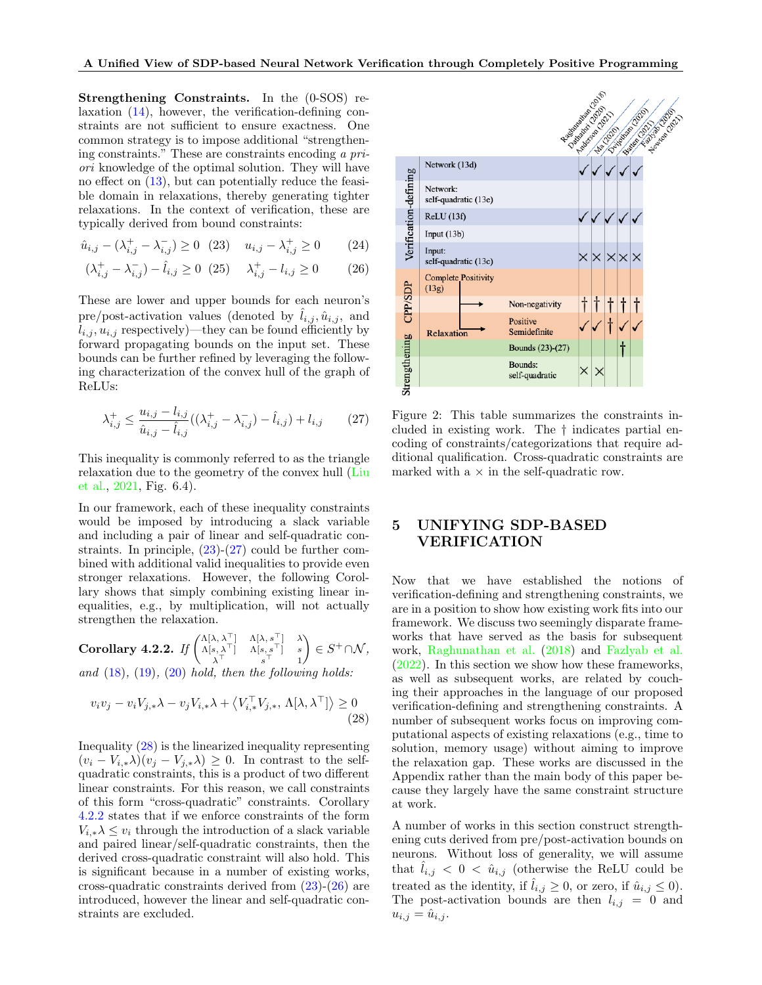Strengthening Constraints. In the (0-SOS) relaxation [\(14\)](#page-4-1), however, the verification-defining constraints are not sufficient to ensure exactness. One common strategy is to impose additional "strengthening constraints." These are constraints encoding a priori knowledge of the optimal solution. They will have no effect on [\(13\)](#page-3-4), but can potentially reduce the feasible domain in relaxations, thereby generating tighter relaxations. In the context of verification, these are typically derived from bound constraints:

<span id="page-5-0"></span>
$$
\hat{u}_{i,j} - (\lambda_{i,j}^+ - \lambda_{i,j}^-) \ge 0 \quad (23) \quad u_{i,j} - \lambda_{i,j}^+ \ge 0 \tag{24}
$$

<span id="page-5-4"></span>
$$
(\lambda_{i,j}^+ - \lambda_{i,j}^-) - \hat{l}_{i,j} \ge 0 \t(25) \t \lambda_{i,j}^+ - l_{i,j} \ge 0 \t(26)
$$

These are lower and upper bounds for each neuron's pre/post-activation values (denoted by  $\hat{l}_{i,j}, \hat{u}_{i,j}$ , and  $l_{i,j}, u_{i,j}$  respectively)—they can be found efficiently by forward propagating bounds on the input set. These bounds can be further refined by leveraging the following characterization of the convex hull of the graph of ReLUs:

<span id="page-5-1"></span>
$$
\lambda_{i,j}^{+} \le \frac{u_{i,j} - l_{i,j}}{\hat{u}_{i,j} - \hat{l}_{i,j}} ((\lambda_{i,j}^{+} - \lambda_{i,j}^{-}) - \hat{l}_{i,j}) + l_{i,j} \tag{27}
$$

This inequality is commonly referred to as the triangle relaxation due to the geometry of the convex hull [\(Liu](#page-9-18) [et al.,](#page-9-18) [2021,](#page-9-18) Fig. 6.4).

In our framework, each of these inequality constraints would be imposed by introducing a slack variable and including a pair of linear and self-quadratic constraints. In principle,  $(23)-(27)$  $(23)-(27)$  could be further combined with additional valid inequalities to provide even stronger relaxations. However, the following Corollary shows that simply combining existing linear inequalities, e.g., by multiplication, will not actually strengthen the relaxation.

<span id="page-5-3"></span> $\textbf{Corollary 4.2.2.} \ \mathit{If} \ \begin{pmatrix} \Lambda[\lambda, \lambda^{\top}] & \Lambda[\lambda, s^{\top}] & \lambda \ \Lambda[s, \lambda^{\top}] & \Lambda[s, s^{\top}] & s \end{pmatrix}$  $\lambda^{\top}$   $s^{\top}$  1  $\Big) \in S^+ \cap \mathcal{N},$ 

and  $(18)$ ,  $(19)$ ,  $(20)$  hold, then the following holds:

<span id="page-5-2"></span>
$$
v_i v_j - v_i V_{j,*} \lambda - v_j V_{i,*} \lambda + \langle V_{i,*}^\top V_{j,*}, \Lambda[\lambda, \lambda^\top] \rangle \ge 0
$$
\n(28)

Inequality [\(28\)](#page-5-2) is the linearized inequality representing  $(v_i - V_{i,*}\lambda)(v_i - V_{i,*}\lambda) \geq 0$ . In contrast to the selfquadratic constraints, this is a product of two different linear constraints. For this reason, we call constraints of this form "cross-quadratic" constraints. Corollary [4.2.2](#page-5-3) states that if we enforce constraints of the form  $V_i^* \lambda \leq v_i$  through the introduction of a slack variable and paired linear/self-quadratic constraints, then the derived cross-quadratic constraint will also hold. This is significant because in a number of existing works, cross-quadratic constraints derived from [\(23\)](#page-5-0)-[\(26\)](#page-5-4) are introduced, however the linear and self-quadratic constraints are excluded.

<span id="page-5-5"></span>

Figure 2: This table summarizes the constraints included in existing work. The † indicates partial encoding of constraints/categorizations that require additional qualification. Cross-quadratic constraints are marked with  $a \times in$  the self-quadratic row.

# <span id="page-5-6"></span>5 UNIFYING SDP-BASED VERIFICATION

Now that we have established the notions of verification-defining and strengthening constraints, we are in a position to show how existing work fits into our framework. We discuss two seemingly disparate frameworks that have served as the basis for subsequent work, [Raghunathan et al.](#page-10-8) [\(2018\)](#page-10-8) and [Fazlyab et al.](#page-9-14) [\(2022\)](#page-9-14). In this section we show how these frameworks, as well as subsequent works, are related by couching their approaches in the language of our proposed verification-defining and strengthening constraints. A number of subsequent works focus on improving computational aspects of existing relaxations (e.g., time to solution, memory usage) without aiming to improve the relaxation gap. These works are discussed in the Appendix rather than the main body of this paper because they largely have the same constraint structure at work.

A number of works in this section construct strengthening cuts derived from pre/post-activation bounds on neurons. Without loss of generality, we will assume that  $l_{i,j} < 0 < \hat{u}_{i,j}$  (otherwise the ReLU could be treated as the identity, if  $\hat{l}_{i,j} \geq 0$ , or zero, if  $\hat{u}_{i,j} \leq 0$ . The post-activation bounds are then  $l_{i,j} = 0$  and  $u_{i,j} = \hat{u}_{i,j}.$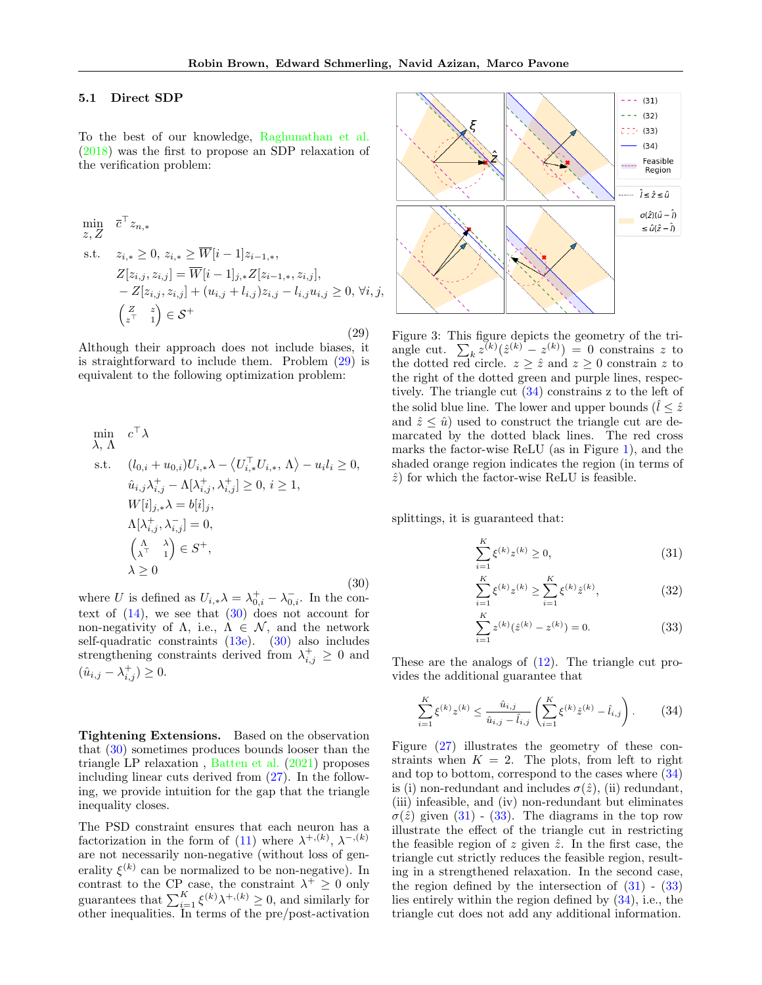#### 5.1 Direct SDP

To the best of our knowledge, [Raghunathan et al.](#page-10-8) [\(2018\)](#page-10-8) was the first to propose an SDP relaxation of the verification problem:

<span id="page-6-0"></span>
$$
\min_{z, Z} \overline{c}^{\top} z_{n,*}
$$
\n
$$
\text{s.t.} \quad z_{i,*} \geq 0, \ z_{i,*} \geq \overline{W}[i-1]z_{i-1,*},
$$
\n
$$
Z[z_{i,j}, z_{i,j}] = \overline{W}[i-1]_{j,*} Z[z_{i-1,*}, z_{i,j}],
$$
\n
$$
- Z[z_{i,j}, z_{i,j}] + (u_{i,j} + l_{i,j})z_{i,j} - l_{i,j}u_{i,j} \geq 0, \forall i, j,
$$
\n
$$
\begin{pmatrix} Z & z \\ z^{\top} & 1 \end{pmatrix} \in \mathcal{S}^{+}
$$
\n(29)

Although their approach does not include biases, it is straightforward to include them. Problem [\(29\)](#page-6-0) is equivalent to the following optimization problem:

<span id="page-6-1"></span>
$$
\min_{\lambda, \Lambda} c^{\top} \lambda
$$
\ns.t.  $(l_{0,i} + u_{0,i}) U_{i,*} \lambda - \langle U_{i,*}^{\top} U_{i,*}, \Lambda \rangle - u_i l_i \ge 0,$   
\n $\hat{u}_{i,j} \lambda_{i,j}^{+} - \Lambda[\lambda_{i,j}^{+}, \lambda_{i,j}^{+}] \ge 0, i \ge 1,$   
\n $W[i]_{j,*} \lambda = b[i]_{j},$   
\n $\Lambda[\lambda_{i,j}^{+}, \lambda_{i,j}^{-}] = 0,$   
\n $\begin{pmatrix} \Lambda & \lambda \\ \lambda^{\top} & 1 \end{pmatrix} \in S^{+},$   
\n $\lambda \ge 0$ \n(30)

where U is defined as  $U_{i,*}\lambda = \lambda_{0,i}^+ - \lambda_{0,i}^-$ . In the context of  $(14)$ , we see that  $(30)$  does not account for non-negativity of  $\Lambda$ , i.e.,  $\Lambda \in \mathcal{N}$ , and the network self-quadratic constraints  $(13e)$ .  $(30)$  also includes strengthening constraints derived from  $\lambda_{i,j}^+ \geq 0$  and  $(\hat{u}_{i,j} - \lambda_{i,j}^+) \geq 0.$ 

Tightening Extensions. Based on the observation that [\(30\)](#page-6-1) sometimes produces bounds looser than the triangle LP relaxation , [Batten et al.](#page-9-19) [\(2021\)](#page-9-19) proposes including linear cuts derived from [\(27\)](#page-5-1). In the following, we provide intuition for the gap that the triangle inequality closes.

The PSD constraint ensures that each neuron has a factorization in the form of [\(11\)](#page-3-10) where  $\lambda^{+, (k)}, \lambda^{-, (k)}$ are not necessarily non-negative (without loss of generality  $\xi^{(k)}$  can be normalized to be non-negative). In contrast to the CP case, the constraint  $\lambda^+ \geq 0$  only guarantees that  $\sum_{i=1}^{K} \xi^{(k)} \lambda^{+, (k)} \geq 0$ , and similarly for other inequalities. In terms of the pre/post-activation



Figure 3: This figure depicts the geometry of the triangle cut.  $\sum_k z^{(k)}(\hat{z}^{(k)} - z^{(k)}) = 0$  constrains z to the dotted red circle.  $z \geq \hat{z}$  and  $z \geq 0$  constrain z to the right of the dotted green and purple lines, respectively. The triangle cut [\(34\)](#page-6-2) constrains z to the left of the solid blue line. The lower and upper bounds  $(\hat{l} \leq \hat{z})$ and  $\hat{z} \leq \hat{u}$  used to construct the triangle cut are demarcated by the dotted black lines. The red cross marks the factor-wise ReLU (as in Figure [1\)](#page-3-2), and the shaded orange region indicates the region (in terms of  $\hat{z}$ ) for which the factor-wise ReLU is feasible.

splittings, it is guaranteed that:

<span id="page-6-3"></span>
$$
\sum_{i=1}^{K} \xi^{(k)} z^{(k)} \ge 0,
$$
\n(31)

$$
\sum_{i=1}^{K} \xi^{(k)} z^{(k)} \ge \sum_{i=1}^{K} \xi^{(k)} \hat{z}^{(k)},
$$
\n(32)

<span id="page-6-4"></span>
$$
\sum_{i=1}^{K} z^{(k)} (\hat{z}^{(k)} - z^{(k)}) = 0.
$$
 (33)

These are the analogs of [\(12\)](#page-3-11). The triangle cut provides the additional guarantee that

<span id="page-6-2"></span>
$$
\sum_{i=1}^{K} \xi^{(k)} z^{(k)} \le \frac{\hat{u}_{i,j}}{\hat{u}_{i,j} - \hat{l}_{i,j}} \left( \sum_{i=1}^{K} \xi^{(k)} \hat{z}^{(k)} - \hat{l}_{i,j} \right). \tag{34}
$$

Figure [\(27\)](#page-5-1) illustrates the geometry of these constraints when  $K = 2$ . The plots, from left to right and top to bottom, correspond to the cases where [\(34\)](#page-6-2) is (i) non-redundant and includes  $\sigma(\hat{z})$ , (ii) redundant, (iii) infeasible, and (iv) non-redundant but eliminates  $\sigma(\hat{z})$  given [\(31\)](#page-6-3) - [\(33\)](#page-6-4). The diagrams in the top row illustrate the effect of the triangle cut in restricting the feasible region of z given  $\hat{z}$ . In the first case, the triangle cut strictly reduces the feasible region, resulting in a strengthened relaxation. In the second case, the region defined by the intersection of  $(31)$  -  $(33)$ lies entirely within the region defined by [\(34\)](#page-6-2), i.e., the triangle cut does not add any additional information.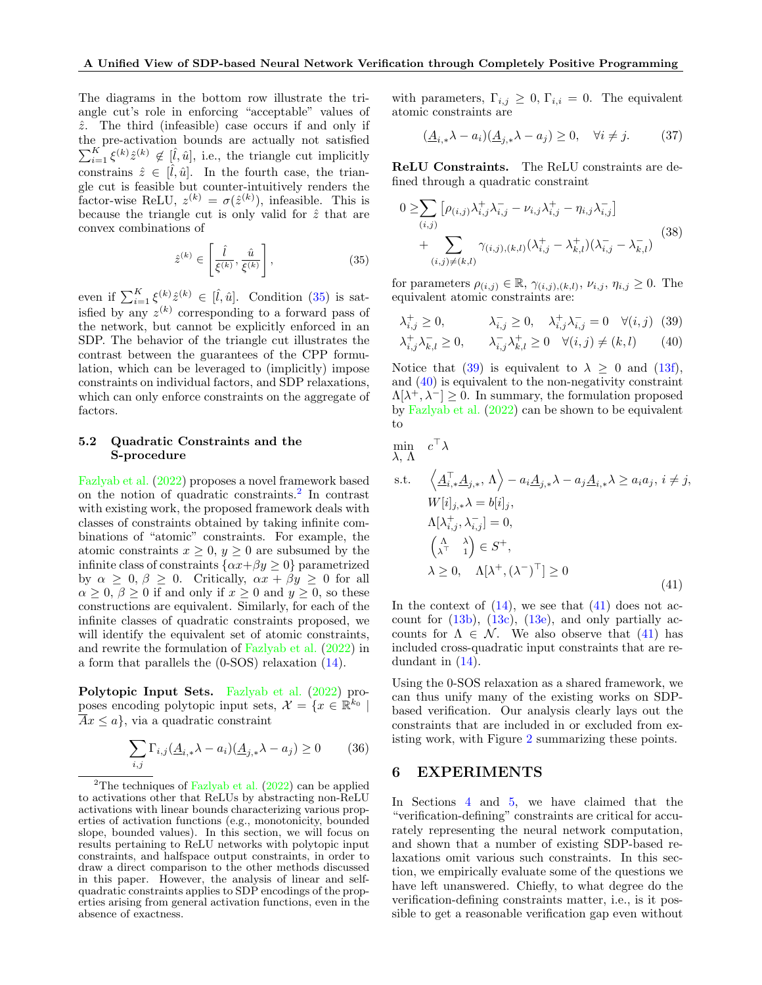The diagrams in the bottom row illustrate the triangle cut's role in enforcing "acceptable" values of  $\hat{z}$ . The third (infeasible) case occurs if and only if the pre-activation bounds are actually not satisfied  $\sum_{i=1}^K \xi^{(k)} \hat{z}^{(k)} \notin [\hat{l}, \hat{u}],$  i.e., the triangle cut implicitly constrains  $\hat{z} \in [\hat{l}, \hat{u}]$ . In the fourth case, the triangle cut is feasible but counter-intuitively renders the factor-wise ReLU,  $z^{(k)} = \sigma(\hat{z}^{(k)})$ , infeasible. This is because the triangle cut is only valid for  $\hat{z}$  that are convex combinations of

<span id="page-7-0"></span>
$$
\hat{z}^{(k)} \in \left[\frac{\hat{l}}{\xi^{(k)}}, \frac{\hat{u}}{\xi^{(k)}}\right],\tag{35}
$$

even if  $\sum_{i=1}^K \xi^{(k)} \hat{z}^{(k)} \in [\hat{l}, \hat{u}]$ . Condition [\(35\)](#page-7-0) is satisfied by any  $z^{(k)}$  corresponding to a forward pass of the network, but cannot be explicitly enforced in an SDP. The behavior of the triangle cut illustrates the contrast between the guarantees of the CPP formulation, which can be leveraged to (implicitly) impose constraints on individual factors, and SDP relaxations, which can only enforce constraints on the aggregate of factors.

### 5.2 Quadratic Constraints and the S-procedure

[Fazlyab et al.](#page-9-14) [\(2022\)](#page-9-14) proposes a novel framework based on the notion of quadratic constraints.[2](#page-7-1) In contrast with existing work, the proposed framework deals with classes of constraints obtained by taking infinite combinations of "atomic" constraints. For example, the atomic constraints  $x \geq 0$ ,  $y \geq 0$  are subsumed by the infinite class of constraints  $\{\alpha x + \beta y \ge 0\}$  parametrized by  $\alpha \geq 0$ ,  $\beta \geq 0$ . Critically,  $\alpha x + \beta y \geq 0$  for all  $\alpha \geq 0$ ,  $\beta \geq 0$  if and only if  $x \geq 0$  and  $y \geq 0$ , so these constructions are equivalent. Similarly, for each of the infinite classes of quadratic constraints proposed, we will identify the equivalent set of atomic constraints, and rewrite the formulation of [Fazlyab et al.](#page-9-14) [\(2022\)](#page-9-14) in a form that parallels the (0-SOS) relaxation [\(14\)](#page-4-1).

Polytopic Input Sets. [Fazlyab et al.](#page-9-14) [\(2022\)](#page-9-14) proposes encoding polytopic input sets,  $\mathcal{X} = \{x \in \mathbb{R}^{k_0} \mid$  $\overline{A}x \leq a$ , via a quadratic constraint

$$
\sum_{i,j} \Gamma_{i,j} (\underline{A}_{i,*} \lambda - a_i) (\underline{A}_{j,*} \lambda - a_j) \ge 0 \tag{36}
$$

with parameters,  $\Gamma_{i,j} \geq 0$ ,  $\Gamma_{i,i} = 0$ . The equivalent atomic constraints are

$$
(\underline{A}_{i,*}\lambda - a_i)(\underline{A}_{j,*}\lambda - a_j) \ge 0, \quad \forall i \ne j. \tag{37}
$$

ReLU Constraints. The ReLU constraints are defined through a quadratic constraint

$$
0 \geq \sum_{(i,j)} \left[ \rho_{(i,j)} \lambda_{i,j}^+ \lambda_{i,j}^- - \nu_{i,j} \lambda_{i,j}^+ - \eta_{i,j} \lambda_{i,j}^- \right]
$$
  
+ 
$$
\sum_{(i,j)\neq (k,l)} \gamma_{(i,j),(k,l)} (\lambda_{i,j}^+ - \lambda_{k,l}^+) (\lambda_{i,j}^- - \lambda_{k,l}^-)
$$
 (38)

for parameters  $\rho_{(i,j)} \in \mathbb{R}$ ,  $\gamma_{(i,j),(k,l)}, \nu_{i,j}, \eta_{i,j} \geq 0$ . The equivalent atomic constraints are:

<span id="page-7-3"></span><span id="page-7-2"></span>
$$
\lambda_{i,j}^+ \ge 0, \qquad \lambda_{i,j}^- \ge 0, \qquad \lambda_{i,j}^+ \lambda_{i,j}^- = 0 \quad \forall (i,j) \tag{39}
$$
  

$$
\lambda_{i,j}^+ \lambda_{k,l}^- \ge 0, \qquad \lambda_{i,j}^- \lambda_{k,l}^+ \ge 0 \quad \forall (i,j) \ne (k,l) \tag{40}
$$

Notice that [\(39\)](#page-7-2) is equivalent to  $\lambda \geq 0$  and [\(13f\)](#page-3-6), and [\(40\)](#page-7-3) is equivalent to the non-negativity constraint  $\Lambda[\lambda^+,\lambda^-] \geq 0$ . In summary, the formulation proposed by [Fazlyab et al.](#page-9-14) [\(2022\)](#page-9-14) can be shown to be equivalent to

$$
\min_{\lambda, \Lambda} c^{\top} \lambda
$$

<span id="page-7-4"></span>s.t. 
$$
\langle \underline{A}_{i,*}^{\top} \underline{A}_{j,*}, \Lambda \rangle - a_i \underline{A}_{j,*} \lambda - a_j \underline{A}_{i,*} \lambda \ge a_i a_j, i \ne j,
$$
  
\n $W[i]_{j,*} \lambda = b[i]_j,$   
\n $\Lambda[\lambda_{i,j}^+, \lambda_{i,j}^-] = 0,$   
\n $\begin{pmatrix} \Lambda & \lambda \\ \lambda^{\top} & 1 \end{pmatrix} \in S^+,$   
\n $\lambda \ge 0, \quad \Lambda[\lambda^+, (\lambda^-)^{\top}] \ge 0$  (41)

In the context of  $(14)$ , we see that  $(41)$  does not account for  $(13b)$ ,  $(13c)$ ,  $(13e)$ , and only partially accounts for  $\Lambda \in \mathcal{N}$ . We also observe that [\(41\)](#page-7-4) has included cross-quadratic input constraints that are redundant in [\(14\)](#page-4-1).

Using the 0-SOS relaxation as a shared framework, we can thus unify many of the existing works on SDPbased verification. Our analysis clearly lays out the constraints that are included in or excluded from existing work, with Figure [2](#page-5-5) summarizing these points.

# 6 EXPERIMENTS

In Sections [4](#page-3-1) and [5,](#page-5-6) we have claimed that the "verification-defining" constraints are critical for accurately representing the neural network computation, and shown that a number of existing SDP-based relaxations omit various such constraints. In this section, we empirically evaluate some of the questions we have left unanswered. Chiefly, to what degree do the verification-defining constraints matter, i.e., is it possible to get a reasonable verification gap even without

<span id="page-7-1"></span><sup>&</sup>lt;sup>2</sup>The techniques of [Fazlyab et al.](#page-9-14)  $(2022)$  can be applied to activations other that ReLUs by abstracting non-ReLU activations with linear bounds characterizing various properties of activation functions (e.g., monotonicity, bounded slope, bounded values). In this section, we will focus on results pertaining to ReLU networks with polytopic input constraints, and halfspace output constraints, in order to draw a direct comparison to the other methods discussed in this paper. However, the analysis of linear and selfquadratic constraints applies to SDP encodings of the properties arising from general activation functions, even in the absence of exactness.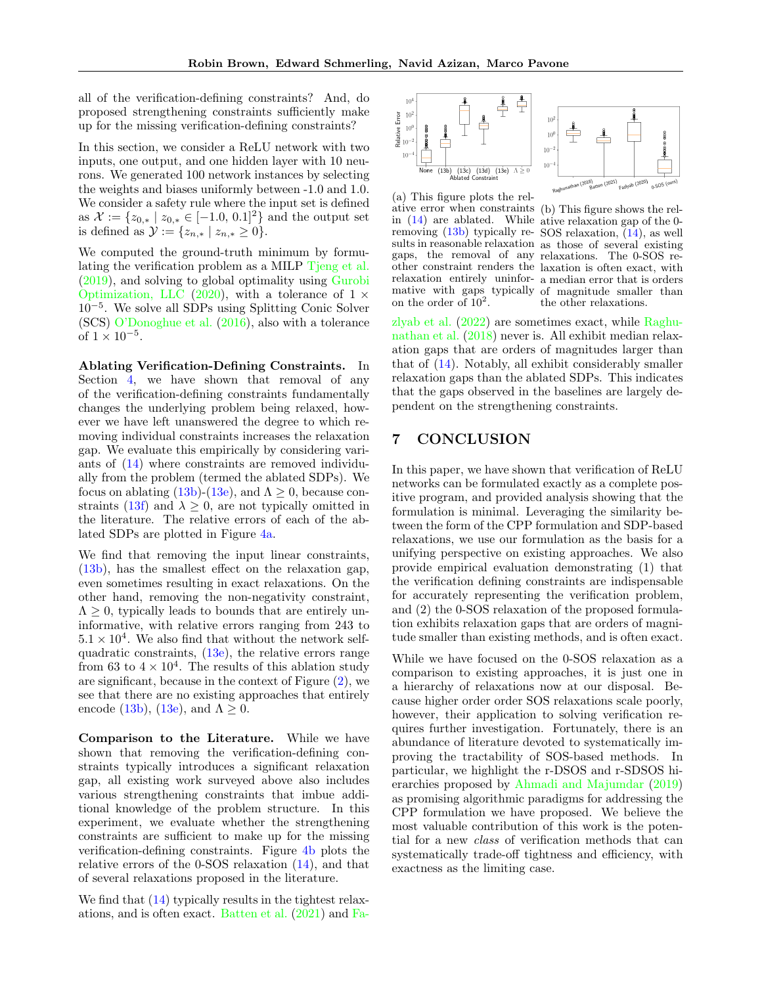all of the verification-defining constraints? And, do proposed strengthening constraints sufficiently make up for the missing verification-defining constraints?

In this section, we consider a ReLU network with two inputs, one output, and one hidden layer with 10 neurons. We generated 100 network instances by selecting the weights and biases uniformly between -1.0 and 1.0. We consider a safety rule where the input set is defined as  $\mathcal{X} := \{z_{0,*} \mid z_{0,*} \in [-1.0, 0.1]^2\}$  and the output set is defined as  $\mathcal{Y} := \{z_{n,*} \mid z_{n,*} \geq 0\}.$ 

We computed the ground-truth minimum by formulating the verification problem as a MILP [Tjeng et al.](#page-10-0) [\(2019\)](#page-10-0), and solving to global optimality using [Gurobi](#page-9-20) [Optimization, LLC](#page-9-20) [\(2020\)](#page-9-20), with a tolerance of  $1 \times$ 10−<sup>5</sup> . We solve all SDPs using Splitting Conic Solver (SCS) [O'Donoghue et al.](#page-10-10) [\(2016\)](#page-10-10), also with a tolerance of  $1 \times 10^{-5}$ .

Ablating Verification-Defining Constraints. In Section [4,](#page-3-1) we have shown that removal of any of the verification-defining constraints fundamentally changes the underlying problem being relaxed, however we have left unanswered the degree to which removing individual constraints increases the relaxation gap. We evaluate this empirically by considering variants of [\(14\)](#page-4-1) where constraints are removed individually from the problem (termed the ablated SDPs). We focus on ablating  $(13b)-(13e)$  $(13b)-(13e)$ , and  $\Lambda \geq 0$ , because con-straints [\(13f\)](#page-3-6) and  $\lambda \geq 0$ , are not typically omitted in the literature. The relative errors of each of the ablated SDPs are plotted in Figure [4a.](#page-8-0)

We find that removing the input linear constraints, [\(13b\)](#page-3-5), has the smallest effect on the relaxation gap, even sometimes resulting in exact relaxations. On the other hand, removing the non-negativity constraint,  $\Lambda > 0$ , typically leads to bounds that are entirely uninformative, with relative errors ranging from 243 to  $5.1 \times 10^4$ . We also find that without the network selfquadratic constraints,  $(13e)$ , the relative errors range from 63 to  $4 \times 10^4$ . The results of this ablation study are significant, because in the context of Figure [\(2\)](#page-5-5), we see that there are no existing approaches that entirely encode [\(13b\)](#page-3-5), [\(13e\)](#page-3-8), and  $\Lambda \geq 0$ .

Comparison to the Literature. While we have shown that removing the verification-defining constraints typically introduces a significant relaxation gap, all existing work surveyed above also includes various strengthening constraints that imbue additional knowledge of the problem structure. In this experiment, we evaluate whether the strengthening constraints are sufficient to make up for the missing verification-defining constraints. Figure [4b](#page-8-0) plots the relative errors of the 0-SOS relaxation [\(14\)](#page-4-1), and that of several relaxations proposed in the literature.

We find that  $(14)$  typically results in the tightest relaxations, and is often exact. [Batten et al.](#page-9-19) [\(2021\)](#page-9-19) and [Fa-](#page-9-14)

<span id="page-8-0"></span>

(a) This figure plots the relative error when constraints (b) This figure shows the relin [\(14\)](#page-4-1) are ablated. While ative relaxation gap of the 0 removing  $(13b)$  typically re-SOS relaxation,  $(14)$ , as well sults in reasonable relaxation as those of several existing gaps, the removal of any relaxations. The 0-SOS reother constraint renders the laxation is often exact, with relaxation entirely uninfor-a median error that is orders mative with gaps typically of magnitude smaller than on the order of  $10^2$ .



[zlyab et al.](#page-9-14) [\(2022\)](#page-9-14) are sometimes exact, while [Raghu](#page-10-8)[nathan et al.](#page-10-8) [\(2018\)](#page-10-8) never is. All exhibit median relaxation gaps that are orders of magnitudes larger than that of [\(14\)](#page-4-1). Notably, all exhibit considerably smaller relaxation gaps than the ablated SDPs. This indicates that the gaps observed in the baselines are largely dependent on the strengthening constraints.

# 7 CONCLUSION

In this paper, we have shown that verification of ReLU networks can be formulated exactly as a complete positive program, and provided analysis showing that the formulation is minimal. Leveraging the similarity between the form of the CPP formulation and SDP-based relaxations, we use our formulation as the basis for a unifying perspective on existing approaches. We also provide empirical evaluation demonstrating (1) that the verification defining constraints are indispensable for accurately representing the verification problem, and (2) the 0-SOS relaxation of the proposed formulation exhibits relaxation gaps that are orders of magnitude smaller than existing methods, and is often exact.

While we have focused on the 0-SOS relaxation as a comparison to existing approaches, it is just one in a hierarchy of relaxations now at our disposal. Because higher order order SOS relaxations scale poorly, however, their application to solving verification requires further investigation. Fortunately, there is an abundance of literature devoted to systematically improving the tractability of SOS-based methods. In particular, we highlight the r-DSOS and r-SDSOS hierarchies proposed by [Ahmadi and Majumdar](#page-9-21) [\(2019\)](#page-9-21) as promising algorithmic paradigms for addressing the CPP formulation we have proposed. We believe the most valuable contribution of this work is the potential for a new class of verification methods that can systematically trade-off tightness and efficiency, with exactness as the limiting case.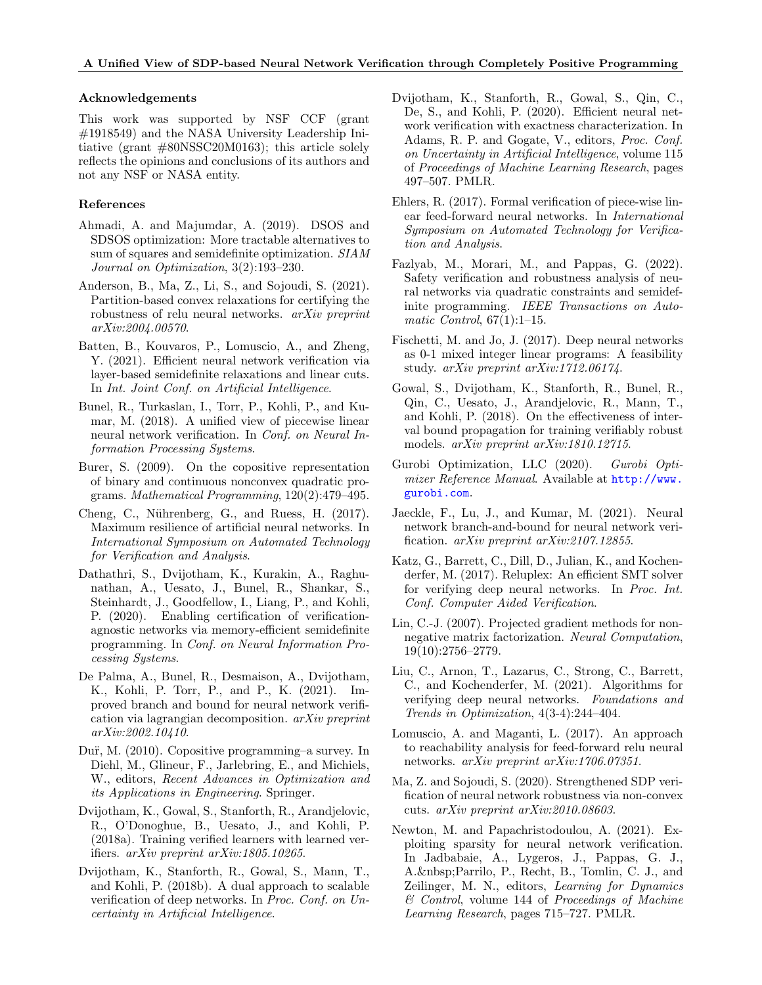### Acknowledgements

This work was supported by NSF CCF (grant #1918549) and the NASA University Leadership Initiative (grant #80NSSC20M0163); this article solely reflects the opinions and conclusions of its authors and not any NSF or NASA entity.

### References

- <span id="page-9-21"></span>Ahmadi, A. and Majumdar, A. (2019). DSOS and SDSOS optimization: More tractable alternatives to sum of squares and semidefinite optimization. SIAM Journal on Optimization, 3(2):193–230.
- <span id="page-9-12"></span>Anderson, B., Ma, Z., Li, S., and Sojoudi, S. (2021). Partition-based convex relaxations for certifying the robustness of relu neural networks. arXiv preprint arXiv:2004.00570.
- <span id="page-9-19"></span>Batten, B., Kouvaros, P., Lomuscio, A., and Zheng, Y. (2021). Efficient neural network verification via layer-based semidefinite relaxations and linear cuts. In Int. Joint Conf. on Artificial Intelligence.
- <span id="page-9-7"></span>Bunel, R., Turkaslan, I., Torr, P., Kohli, P., and Kumar, M. (2018). A unified view of piecewise linear neural network verification. In Conf. on Neural Information Processing Systems.
- <span id="page-9-22"></span>Burer, S. (2009). On the copositive representation of binary and continuous nonconvex quadratic programs. Mathematical Programming, 120(2):479–495.
- <span id="page-9-1"></span>Cheng, C., Nührenberg, G., and Ruess, H. (2017). Maximum resilience of artificial neural networks. In International Symposium on Automated Technology for Verification and Analysis.
- <span id="page-9-11"></span>Dathathri, S., Dvijotham, K., Kurakin, A., Raghunathan, A., Uesato, J., Bunel, R., Shankar, S., Steinhardt, J., Goodfellow, I., Liang, P., and Kohli, P. (2020). Enabling certification of verificationagnostic networks via memory-efficient semidefinite programming. In Conf. on Neural Information Processing Systems.
- <span id="page-9-5"></span>De Palma, A., Bunel, R., Desmaison, A., Dvijotham, K., Kohli, P. Torr, P., and P., K. (2021). Improved branch and bound for neural network verification via lagrangian decomposition. arXiv preprint arXiv:2002.10410.
- <span id="page-9-17"></span>Du¨r, M. (2010). Copositive programming–a survey. In Diehl, M., Glineur, F., Jarlebring, E., and Michiels, W., editors, Recent Advances in Optimization and its Applications in Engineering. Springer.
- <span id="page-9-10"></span>Dvijotham, K., Gowal, S., Stanforth, R., Arandjelovic, R., O'Donoghue, B., Uesato, J., and Kohli, P. (2018a). Training verified learners with learned verifiers. arXiv preprint arXiv:1805.10265.
- <span id="page-9-9"></span>Dvijotham, K., Stanforth, R., Gowal, S., Mann, T., and Kohli, P. (2018b). A dual approach to scalable verification of deep networks. In Proc. Conf. on Uncertainty in Artificial Intelligence.
- <span id="page-9-16"></span>Dvijotham, K., Stanforth, R., Gowal, S., Qin, C., De, S., and Kohli, P. (2020). Efficient neural network verification with exactness characterization. In Adams, R. P. and Gogate, V., editors, Proc. Conf. on Uncertainty in Artificial Intelligence, volume 115 of Proceedings of Machine Learning Research, pages 497–507. PMLR.
- <span id="page-9-4"></span>Ehlers, R. (2017). Formal verification of piece-wise linear feed-forward neural networks. In International Symposium on Automated Technology for Verification and Analysis.
- <span id="page-9-14"></span>Fazlyab, M., Morari, M., and Pappas, G. (2022). Safety verification and robustness analysis of neural networks via quadratic constraints and semidefinite programming. IEEE Transactions on Automatic Control,  $67(1):1-15$ .
- <span id="page-9-3"></span>Fischetti, M. and Jo, J. (2017). Deep neural networks as 0-1 mixed integer linear programs: A feasibility study. arXiv preprint arXiv:1712.06174.
- <span id="page-9-8"></span>Gowal, S., Dvijotham, K., Stanforth, R., Bunel, R., Qin, C., Uesato, J., Arandjelovic, R., Mann, T., and Kohli, P. (2018). On the effectiveness of interval bound propagation for training verifiably robust models. arXiv preprint arXiv:1810.12715.
- <span id="page-9-20"></span>Gurobi Optimization, LLC (2020). Gurobi Optimizer Reference Manual. Available at [http://www.](http://www.gurobi.com) [gurobi.com](http://www.gurobi.com).
- <span id="page-9-6"></span>Jaeckle, F., Lu, J., and Kumar, M. (2021). Neural network branch-and-bound for neural network verification. arXiv preprint arXiv:2107.12855.
- <span id="page-9-0"></span>Katz, G., Barrett, C., Dill, D., Julian, K., and Kochenderfer, M. (2017). Reluplex: An efficient SMT solver for verifying deep neural networks. In Proc. Int. Conf. Computer Aided Verification.
- <span id="page-9-23"></span>Lin, C.-J. (2007). Projected gradient methods for nonnegative matrix factorization. Neural Computation, 19(10):2756–2779.
- <span id="page-9-18"></span>Liu, C., Arnon, T., Lazarus, C., Strong, C., Barrett, C., and Kochenderfer, M. (2021). Algorithms for verifying deep neural networks. Foundations and Trends in Optimization, 4(3-4):244–404.
- <span id="page-9-2"></span>Lomuscio, A. and Maganti, L. (2017). An approach to reachability analysis for feed-forward relu neural networks. arXiv preprint arXiv:1706.07351.
- <span id="page-9-13"></span>Ma, Z. and Sojoudi, S. (2020). Strengthened SDP verification of neural network robustness via non-convex cuts. arXiv preprint arXiv:2010.08603.
- <span id="page-9-15"></span>Newton, M. and Papachristodoulou, A. (2021). Exploiting sparsity for neural network verification. In Jadbabaie, A., Lygeros, J., Pappas, G. J., A. Parrilo, P., Recht, B., Tomlin, C. J., and Zeilinger, M. N., editors, Learning for Dynamics & Control, volume 144 of Proceedings of Machine Learning Research, pages 715–727. PMLR.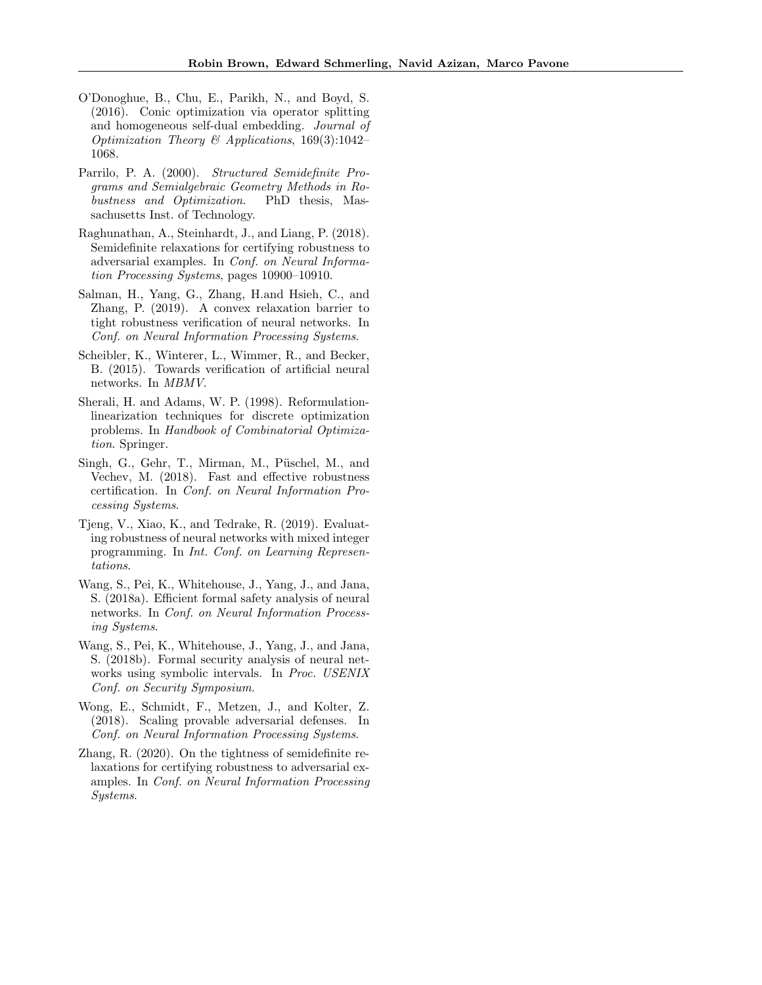- <span id="page-10-10"></span>O'Donoghue, B., Chu, E., Parikh, N., and Boyd, S. (2016). Conic optimization via operator splitting and homogeneous self-dual embedding. Journal of Optimization Theory & Applications, 169(3):1042– 1068.
- <span id="page-10-9"></span>Parrilo, P. A. (2000). Structured Semidefinite Programs and Semialgebraic Geometry Methods in Robustness and Optimization. PhD thesis, Massachusetts Inst. of Technology.
- <span id="page-10-8"></span>Raghunathan, A., Steinhardt, J., and Liang, P. (2018). Semidefinite relaxations for certifying robustness to adversarial examples. In Conf. on Neural Information Processing Systems, pages 10900–10910.
- <span id="page-10-6"></span>Salman, H., Yang, G., Zhang, H.and Hsieh, C., and Zhang, P. (2019). A convex relaxation barrier to tight robustness verification of neural networks. In Conf. on Neural Information Processing Systems.
- <span id="page-10-1"></span>Scheibler, K., Winterer, L., Wimmer, R., and Becker, B. (2015). Towards verification of artificial neural networks. In MBMV.
- <span id="page-10-7"></span>Sherali, H. and Adams, W. P. (1998). Reformulationlinearization techniques for discrete optimization problems. In Handbook of Combinatorial Optimization. Springer.
- <span id="page-10-2"></span>Singh, G., Gehr, T., Mirman, M., Püschel, M., and Vechev, M. (2018). Fast and effective robustness certification. In Conf. on Neural Information Processing Systems.
- <span id="page-10-0"></span>Tjeng, V., Xiao, K., and Tedrake, R. (2019). Evaluating robustness of neural networks with mixed integer programming. In Int. Conf. on Learning Representations.
- <span id="page-10-3"></span>Wang, S., Pei, K., Whitehouse, J., Yang, J., and Jana, S. (2018a). Efficient formal safety analysis of neural networks. In Conf. on Neural Information Processing Systems.
- <span id="page-10-4"></span>Wang, S., Pei, K., Whitehouse, J., Yang, J., and Jana, S. (2018b). Formal security analysis of neural networks using symbolic intervals. In Proc. USENIX Conf. on Security Symposium.
- <span id="page-10-5"></span>Wong, E., Schmidt, F., Metzen, J., and Kolter, Z. (2018). Scaling provable adversarial defenses. In Conf. on Neural Information Processing Systems.
- <span id="page-10-11"></span>Zhang, R. (2020). On the tightness of semidefinite relaxations for certifying robustness to adversarial examples. In Conf. on Neural Information Processing Systems.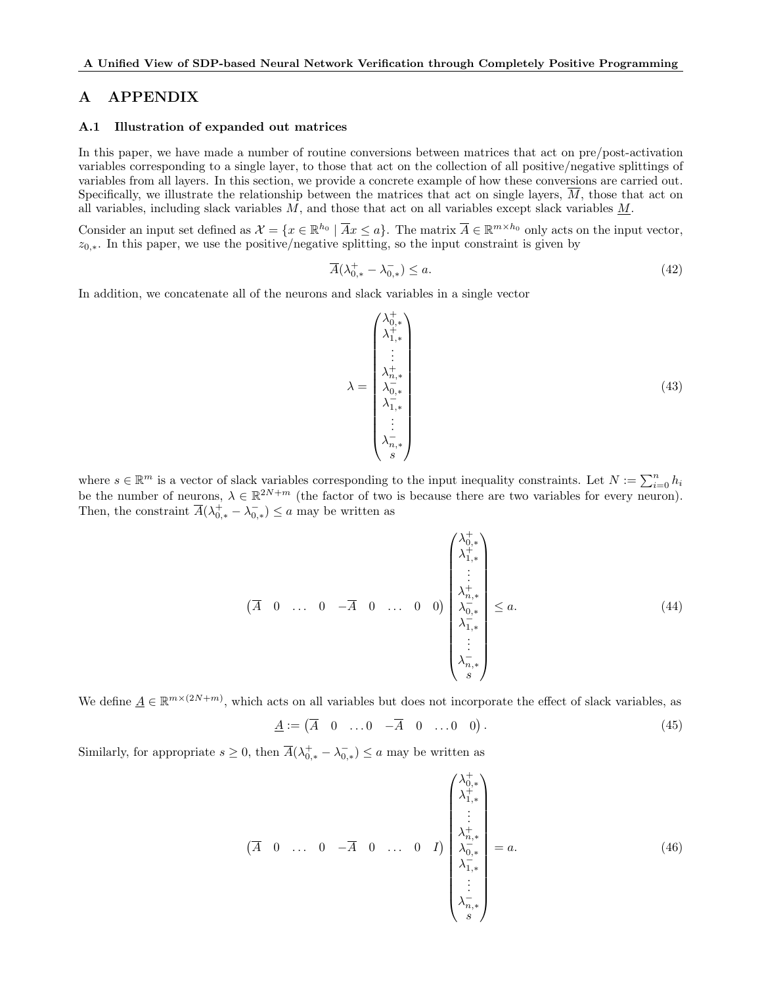# A APPENDIX

### A.1 Illustration of expanded out matrices

In this paper, we have made a number of routine conversions between matrices that act on pre/post-activation variables corresponding to a single layer, to those that act on the collection of all positive/negative splittings of variables from all layers. In this section, we provide a concrete example of how these conversions are carried out. Specifically, we illustrate the relationship between the matrices that act on single layers,  $\overline{M}$ , those that act on all variables, including slack variables  $M$ , and those that act on all variables except slack variables  $M$ .

Consider an input set defined as  $\mathcal{X} = \{x \in \mathbb{R}^{h_0} \mid \overline{A}x \le a\}$ . The matrix  $\overline{A} \in \mathbb{R}^{m \times h_0}$  only acts on the input vector,  $z_{0,*}$ . In this paper, we use the positive/negative splitting, so the input constraint is given by

$$
\overline{A}(\lambda_{0,*}^+ - \lambda_{0,*}^-) \le a. \tag{42}
$$

In addition, we concatenate all of the neurons and slack variables in a single vector

$$
\lambda = \begin{pmatrix}\n\lambda_{0,*}^+ \\
\lambda_{1,*}^+ \\
\vdots \\
\lambda_{n,*}^- \\
\lambda_{1,*}^- \\
\lambda_{1,*}^- \\
\vdots \\
\lambda_{n,*}^- \n\end{pmatrix}
$$
\n(43)

where  $s \in \mathbb{R}^m$  is a vector of slack variables corresponding to the input inequality constraints. Let  $N := \sum_{i=0}^n h_i$ be the number of neurons,  $\lambda \in \mathbb{R}^{2N+m}$  (the factor of two is because there are two variables for every neuron). Then, the constraint  $\overline{A}(\lambda_{0,*}^+ - \lambda_{0,*}^-) \le a$  may be written as

$$
\left(\overline{A} \quad 0 \quad \dots \quad 0 \quad -\overline{A} \quad 0 \quad \dots \quad 0 \quad 0\right) \begin{pmatrix} \lambda_{0,*}^+ \\ \lambda_{1,*}^+ \\ \vdots \\ \lambda_{n,*}^- \\ \lambda_{1,*}^- \\ \vdots \\ \lambda_{n,*}^- \end{pmatrix} \le a. \tag{44}
$$

We define  $\underline{A} \in \mathbb{R}^{m \times (2N+m)}$ , which acts on all variables but does not incorporate the effect of slack variables, as

$$
\underline{A} := (\overline{A} \quad 0 \quad \dots 0 \quad -\overline{A} \quad 0 \quad \dots 0 \quad 0). \tag{45}
$$

Similarly, for appropriate  $s \geq 0$ , then  $\overline{A}(\lambda_{0,*}^+ - \lambda_{0,*}^-) \leq a$  may be written as

 $\overline{\phantom{a}}$ 

$$
\overline{A} \quad 0 \quad \dots \quad 0 \quad -\overline{A} \quad 0 \quad \dots \quad 0 \quad I) \begin{pmatrix} \lambda_{0,*}^+ \\ \lambda_{1,*}^+ \\ \vdots \\ \lambda_{n,*}^- \\ \lambda_{0,*}^- \\ \vdots \\ \lambda_{n,*}^- \end{pmatrix} = a. \tag{46}
$$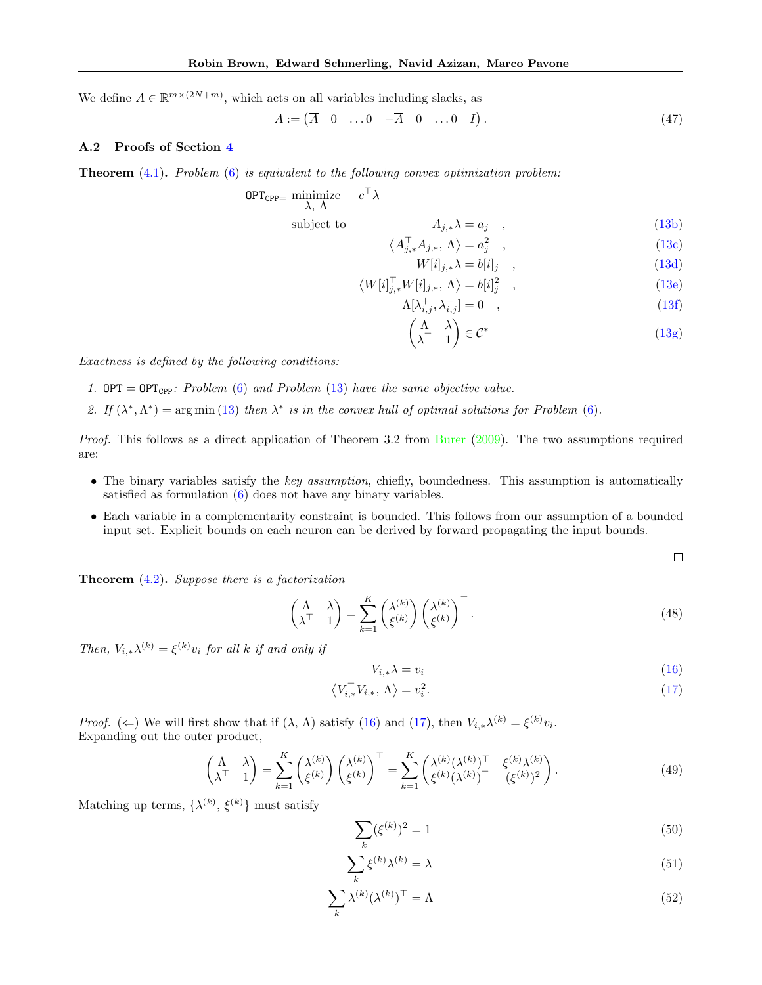We define  $A \in \mathbb{R}^{m \times (2N+m)}$ , which acts on all variables including slacks, as

$$
A := \begin{pmatrix} \overline{A} & 0 & \dots & 0 & -\overline{A} & 0 & \dots & 0 & I \end{pmatrix} . \tag{47}
$$

#### A.2 Proofs of Section [4](#page-3-1)

**Theorem**  $(4.1)$ . Problem  $(6)$  is equivalent to the following convex optimization problem:

$$
OPT_{\text{CPP=}} \text{minimize} \quad c^{\top} \lambda
$$
\n
$$
\lambda, \Lambda
$$
\n
$$
\text{subject to} \qquad A_{j,*} \lambda = a_j \quad , \tag{13b}
$$

$$
\left\langle A_{j,*}^\top A_{j,*}, \Lambda \right\rangle = a_j^2 \quad , \tag{13c}
$$

$$
W[i]_{j,*}\lambda = b[i]_j \quad , \tag{13d}
$$

$$
\langle W[i]_{j,*}^\top W[i]_{j,*}, \Lambda \rangle = b[i]_j^2 \quad , \tag{13e}
$$

$$
\Lambda[\lambda_{i,j}^+,\lambda_{i,j}^-] = 0 \quad , \tag{13f}
$$

$$
\begin{pmatrix} \Lambda & \lambda \\ \lambda^{\top} & 1 \end{pmatrix} \in \mathcal{C}^* \tag{13g}
$$

Exactness is defined by the following conditions:

- 1. OPT = OPT<sub>CPP</sub>: Problem [\(6\)](#page-2-0) and Problem [\(13\)](#page-3-4) have the same objective value.
- 2. If  $(\lambda^*, \Lambda^*)$  = arg min [\(13\)](#page-3-4) then  $\lambda^*$  is in the convex hull of optimal solutions for Problem [\(6\)](#page-2-0).

Proof. This follows as a direct application of Theorem 3.2 from [Burer](#page-9-22) [\(2009\)](#page-9-22). The two assumptions required are:

- The binary variables satisfy the key assumption, chiefly, boundedness. This assumption is automatically satisfied as formulation [\(6\)](#page-2-0) does not have any binary variables.
- Each variable in a complementarity constraint is bounded. This follows from our assumption of a bounded input set. Explicit bounds on each neuron can be derived by forward propagating the input bounds.

 $\Box$ 

**Theorem**  $(4.2)$ . Suppose there is a factorization

$$
\begin{pmatrix} \Lambda & \lambda \\ \lambda^{\top} & 1 \end{pmatrix} = \sum_{k=1}^{K} \begin{pmatrix} \lambda^{(k)} \\ \xi^{(k)} \end{pmatrix} \begin{pmatrix} \lambda^{(k)} \\ \xi^{(k)} \end{pmatrix}^{\top}.
$$
\n(48)

Then,  $V_{i,*}\lambda^{(k)} = \xi^{(k)}v_i$  for all k if and only if

$$
V_{i,*} \lambda = v_i \tag{16}
$$

$$
\left\langle V_{i,*}^{\top} V_{i,*}, \Lambda \right\rangle = v_i^2. \tag{17}
$$

*Proof.* ( $\Leftarrow$ ) We will first show that if  $(\lambda, \Lambda)$  satisfy [\(16\)](#page-4-6) and [\(17\)](#page-4-7), then  $V_{i,*}\lambda^{(k)} = \xi^{(k)}v_i$ . Expanding out the outer product,

$$
\begin{pmatrix} \Lambda & \lambda \\ \lambda^{\top} & 1 \end{pmatrix} = \sum_{k=1}^{K} \begin{pmatrix} \lambda^{(k)} \\ \xi^{(k)} \end{pmatrix} \begin{pmatrix} \lambda^{(k)} \\ \xi^{(k)} \end{pmatrix}^{\top} = \sum_{k=1}^{K} \begin{pmatrix} \lambda^{(k)} (\lambda^{(k)})^{\top} & \xi^{(k)} \lambda^{(k)} \\ \xi^{(k)} (\lambda^{(k)})^{\top} & (\xi^{(k)})^2 \end{pmatrix}.
$$
 (49)

Matching up terms,  $\{\lambda^{(k)}, \xi^{(k)}\}$  must satisfy

$$
\sum_{k} (\xi^{(k)})^2 = 1 \tag{50}
$$

$$
\sum_{k} \xi^{(k)} \lambda^{(k)} = \lambda \tag{51}
$$

$$
\sum_{k} \lambda^{(k)} (\lambda^{(k)})^{\top} = \Lambda \tag{52}
$$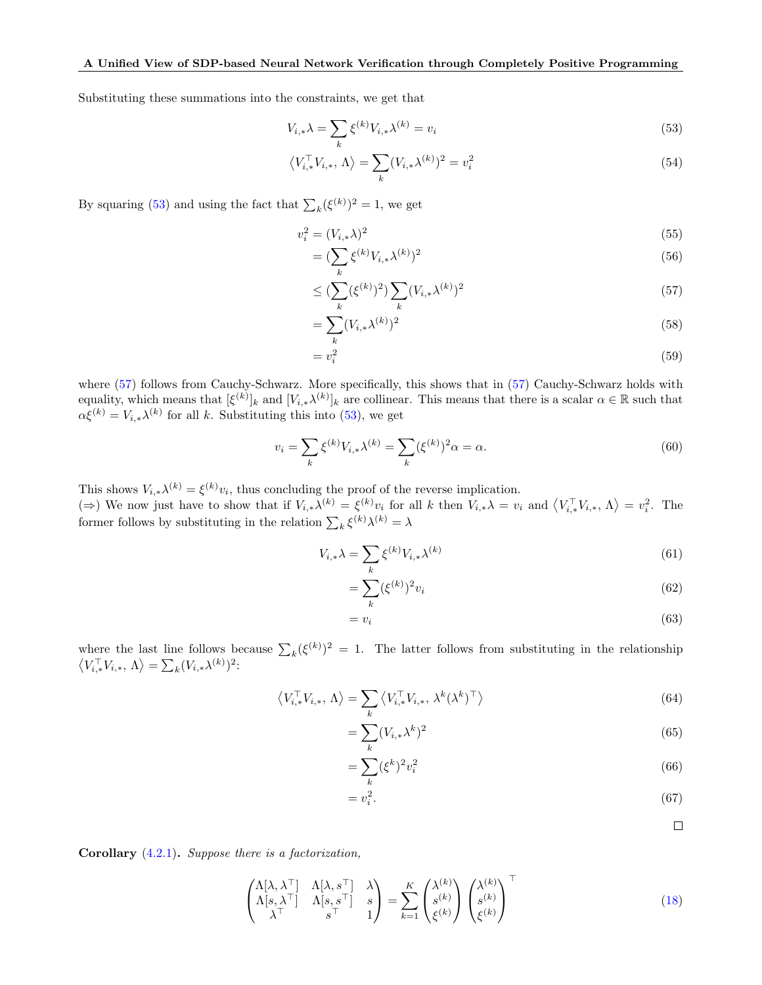Substituting these summations into the constraints, we get that

$$
V_{i,*}\lambda = \sum_{k} \xi^{(k)} V_{i,*}\lambda^{(k)} = v_i \tag{53}
$$

<span id="page-13-0"></span>
$$
\left\langle V_{i,*}^{\top} V_{i,*}, \Lambda \right\rangle = \sum_{k} (V_{i,*} \lambda^{(k)})^2 = v_i^2
$$
\n(54)

By squaring [\(53\)](#page-13-0) and using the fact that  $\sum_{k} (\xi^{(k)})^2 = 1$ , we get

$$
v_i^2 = (V_{i, *}\lambda)^2 \tag{55}
$$

$$
= (\sum_{k} \xi^{(k)} V_{i,*} \lambda^{(k)})^2
$$
\n(56)

<span id="page-13-1"></span>
$$
\leq \left(\sum_{k} (\xi^{(k)})^2\right) \sum_{k} (V_{i,*} \lambda^{(k)})^2 \tag{57}
$$

$$
=\sum_{k}(V_{i,*}\lambda^{(k)})^2\tag{58}
$$

$$
=v_i^2\tag{59}
$$

where [\(57\)](#page-13-1) follows from Cauchy-Schwarz. More specifically, this shows that in (57) Cauchy-Schwarz holds with equality, which means that  $[\xi^{(k)}]_k$  and  $[V_{i,*}\lambda^{(k)}]_k$  are collinear. This means that there is a scalar  $\alpha \in \mathbb{R}$  such that  $\alpha \xi^{(k)} = V_{i,*} \lambda^{(k)}$  for all k. Substituting this into [\(53\)](#page-13-0), we get

$$
v_i = \sum_k \xi^{(k)} V_{i,*} \lambda^{(k)} = \sum_k (\xi^{(k)})^2 \alpha = \alpha.
$$
 (60)

This shows  $V_{i,*}\lambda^{(k)} = \xi^{(k)}v_i$ , thus concluding the proof of the reverse implication.

( $\Rightarrow$ ) We now just have to show that if  $V_{i,*}\lambda^{(k)} = \xi^{(k)}v_i$  for all k then  $V_{i,*}\lambda = v_i$  and  $\langle V_{i,*}^\top V_{i,*}, \Lambda \rangle = v_i^2$ . The former follows by substituting in the relation  $\sum_{k} \xi^{(k)} \lambda^{(k)} = \lambda$ 

$$
V_{i,*}\lambda = \sum_{k} \xi^{(k)} V_{i,*}\lambda^{(k)} \tag{61}
$$

$$
=\sum_{k} (\xi^{(k)})^2 v_i \tag{62}
$$

$$
=v_i\tag{63}
$$

where the last line follows because  $\sum_k (\xi^{(k)})^2 = 1$ . The latter follows from substituting in the relationship  $\langle V_{i,*}^{\top}V_{i,*}, \Lambda \rangle = \sum_{k} (V_{i,*}\lambda^{(k)})^2$ :

$$
\left\langle V_{i,*}^{\top} V_{i,*}, \Lambda \right\rangle = \sum_{k} \left\langle V_{i,*}^{\top} V_{i,*}, \lambda^k (\lambda^k)^{\top} \right\rangle \tag{64}
$$

$$
=\sum_{k}(V_{i,*}\lambda^k)^2\tag{65}
$$

$$
=\sum_{k} (\xi^{k})^2 v_i^2 \tag{66}
$$

$$
=v_i^2.\tag{67}
$$

 $\Box$ 

**Corollary**  $(4.2.1)$ *. Suppose there is a factorization,* 

$$
\begin{pmatrix}\n\Lambda[\lambda,\lambda^{\top}] & \Lambda[\lambda,s^{\top}] & \lambda \\
\Lambda[s,\lambda^{\top}] & \Lambda[s,s^{\top}] & s \\
\lambda^{\top} & s^{\top} & 1\n\end{pmatrix} = \sum_{k=1}^{K} \begin{pmatrix}\n\lambda^{(k)} \\
s^{(k)} \\
\xi^{(k)}\n\end{pmatrix} \begin{pmatrix}\n\lambda^{(k)} \\
s^{(k)} \\
\xi^{(k)}\n\end{pmatrix}^{\top}
$$
\n(18)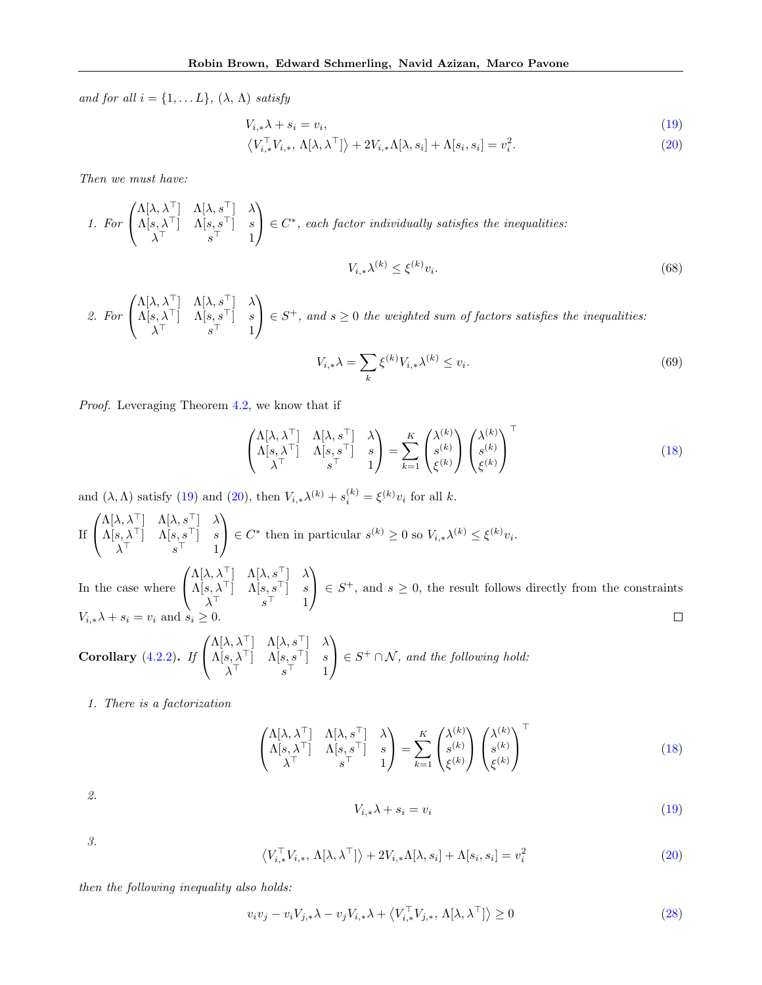and for all  $i = \{1, \ldots L\}$ ,  $(\lambda, \Lambda)$  satisfy

$$
V_{i,*}\lambda + s_i = v_i,\tag{19}
$$

$$
\left\langle V_{i,*}^{\top} V_{i,*}, \Lambda[\lambda, \lambda^{\top}] \right\rangle + 2V_{i,*}\Lambda[\lambda, s_i] + \Lambda[s_i, s_i] = v_i^2.
$$
 (20)

Then we must have:

1. For 
$$
\begin{pmatrix} \Lambda[\lambda, \lambda^{\top}] & \Lambda[\lambda, s^{\top}] & \lambda \\ \Lambda[s, \lambda^{\top}] & \Lambda[s, s^{\top}] & s \\ \lambda^{\top} & s^{\top} & 1 \end{pmatrix} \in C^*,
$$
 each factor individually satisfies the inequalities:  

$$
V_{i,*}\lambda^{(k)} \leq \xi^{(k)}v_i.
$$
 (68)

2. For 
$$
\begin{pmatrix} \Lambda[\lambda,\lambda^{\top}] & \Lambda[\lambda,s^{\top}] & \lambda \\ \Lambda[s,\lambda^{\top}] & \Lambda[s,s^{\top}] & s \\ \lambda^{\top} & s^{\top} & 1 \end{pmatrix} \in S^{+}
$$
, and  $s \ge 0$  the weighted sum of factors satisfies the inequalities:

$$
V_{i,*}\lambda = \sum_{k} \xi^{(k)} V_{i,*}\lambda^{(k)} \le v_i.
$$
\n(69)

Proof. Leveraging Theorem [4.2,](#page-4-0) we know that if

$$
\begin{pmatrix}\n\Lambda[\lambda,\lambda^{\top}] & \Lambda[\lambda,s^{\top}] & \lambda \\
\Lambda[s,\lambda^{\top}] & \Lambda[s,s^{\top}] & s \\
\lambda^{\top} & s^{\top} & 1\n\end{pmatrix} = \sum_{k=1}^{K} \begin{pmatrix}\n\lambda^{(k)} \\
s^{(k)} \\
\xi^{(k)}\n\end{pmatrix} \begin{pmatrix}\n\lambda^{(k)} \\
s^{(k)} \\
\xi^{(k)}\n\end{pmatrix}^{\top}
$$
\n(18)

and  $(\lambda, \Lambda)$  satisfy [\(19\)](#page-4-4) and [\(20\)](#page-4-5), then  $V_{i,*}\lambda^{(k)} + s_i^{(k)} = \xi^{(k)}v_i$  for all k.

 $\sqrt{ }$  $\Lambda[\lambda,\lambda^\top]$   $\Lambda[\lambda,s^\top]$   $\lambda$  $\setminus$  $\Lambda[s,\lambda^{\top}]-\Lambda[s,s^{\top}]=s$  $\Big\} \in C^*$  then in particular  $s^{(k)} \geq 0$  so  $V_{i,*} \lambda^{(k)} \leq \xi^{(k)} v_i$ . If  $\mathcal{L}$ λ <sup>&</sup>gt; s <sup>&</sup>gt; 1  $\sqrt{ }$  $\Lambda[\lambda,\lambda^\top]$   $\Lambda[\lambda,s^\top]$   $\lambda$  $\setminus$  $\Lambda[s,\lambda^{\top}]\quad \Lambda[s,s^{\top}]\quad s$  $\Big\} \in S^+$ , and  $s \geq 0$ , the result follows directly from the constraints In the case where  $\mathbf{I}$ λ <sup>&</sup>gt; s <sup>&</sup>gt; 1  $V_{i,*}\lambda + s_i = v_i$  and  $s_i \geq 0$ .  $\Box$ 

Corollary (4.2.2). If 
$$
\begin{pmatrix} \Lambda[\lambda, \lambda^{\top}] & \Lambda[\lambda, s^{\top}] & \lambda \\ \Lambda[s, \lambda^{\top}] & \Lambda[s, s^{\top}] & s \\ \lambda^{\top} & s^{\top} & 1 \end{pmatrix} \in S^{+} \cap \mathcal{N}
$$
, and the following hold:

1. There is a factorization

$$
\begin{pmatrix}\n\Lambda[\lambda,\lambda^{\top}] & \Lambda[\lambda,s^{\top}] & \lambda \\
\Lambda[s,\lambda^{\top}] & \Lambda[s,s^{\top}] & s \\
\lambda^{\top} & s^{\top} & 1\n\end{pmatrix} = \sum_{k=1}^{K} \begin{pmatrix}\n\lambda^{(k)} \\
s^{(k)} \\
\xi^{(k)}\n\end{pmatrix} \begin{pmatrix}\n\lambda^{(k)} \\
s^{(k)} \\
\xi^{(k)}\n\end{pmatrix}^{\top}
$$
\n(18)

2.

$$
V_{i,*}\lambda + s_i = v_i \tag{19}
$$

3.

$$
\left\langle V_{i,*}^{\top} V_{i,*}, \Lambda[\lambda, \lambda^{\top}] \right\rangle + 2V_{i,*}\Lambda[\lambda, s_i] + \Lambda[s_i, s_i] = v_i^2
$$
\n(20)

then the following inequality also holds:

$$
v_i v_j - v_i V_{j,*} \lambda - v_j V_{i,*} \lambda + \langle V_{i,*}^\top V_{j,*}, \Lambda[\lambda, \lambda^\top] \rangle \ge 0
$$
\n(28)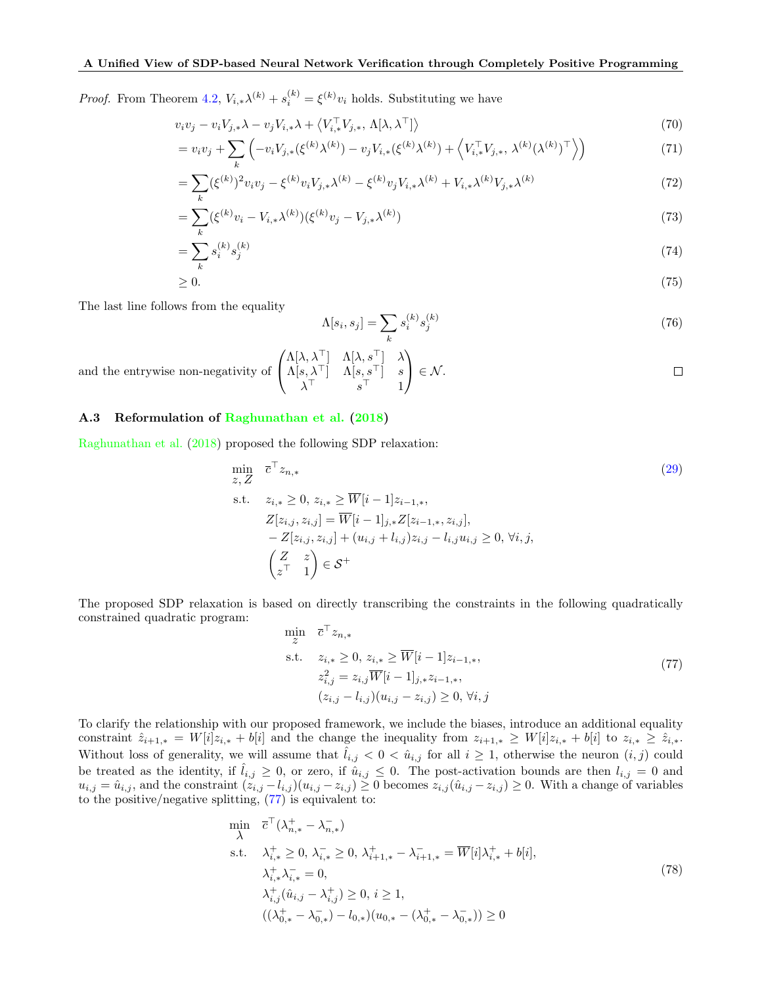*Proof.* From Theorem [4.2,](#page-4-0)  $V_{i,*}\lambda^{(k)} + s_i^{(k)} = \xi^{(k)}v_i$  holds. Substituting we have

$$
v_i v_j - v_i V_{j,*} \lambda - v_j V_{i,*} \lambda + \langle V_{i,*}^\top V_{j,*}, \Lambda[\lambda, \lambda^\top] \rangle \tag{70}
$$

$$
= v_i v_j + \sum_k \left( -v_i V_{j,*}(\xi^{(k)} \lambda^{(k)}) - v_j V_{i,*}(\xi^{(k)} \lambda^{(k)}) + \left\langle V_{i,*}^\top V_{j,*}, \lambda^{(k)}(\lambda^{(k)})^\top \right\rangle \right) \tag{71}
$$

$$
= \sum_{k} (\xi^{(k)})^2 v_i v_j - \xi^{(k)} v_i V_{j,*} \lambda^{(k)} - \xi^{(k)} v_j V_{i,*} \lambda^{(k)} + V_{i,*} \lambda^{(k)} V_{j,*} \lambda^{(k)}
$$
(72)

$$
= \sum_{k} (\xi^{(k)} v_i - V_{i,*} \lambda^{(k)}) (\xi^{(k)} v_j - V_{j,*} \lambda^{(k)})
$$
\n(73)

$$
=\sum_{k} s_i^{(k)} s_j^{(k)} \tag{74}
$$

$$
\geq 0.\tag{75}
$$

The last line follows from the equality

$$
\Lambda[s_i, s_j] = \sum_k s_i^{(k)} s_j^{(k)} \tag{76}
$$

and the entrywise non-negativity of 
$$
\begin{pmatrix} \Lambda[\lambda, \lambda^{\top}] & \Lambda[\lambda, s^{\top}] & \lambda \\ \Lambda[s, \lambda^{\top}] & \Lambda[s, s^{\top}] & s \\ \lambda^{\top} & s^{\top} & 1 \end{pmatrix} \in \mathcal{N}
$$
.

# A.3 Reformulation of [Raghunathan et al.](#page-10-8) [\(2018\)](#page-10-8)

[Raghunathan et al.](#page-10-8) [\(2018\)](#page-10-8) proposed the following SDP relaxation:

$$
\min_{z, Z} \overline{c}^{\top} z_{n,*} \tag{29}
$$
\n
$$
\text{s.t.} \quad z_{i,*} \ge 0, \ z_{i,*} \ge \overline{W}[i-1]z_{i-1,*},
$$
\n
$$
Z[z_{i,j}, z_{i,j}] = \overline{W}[i-1]_{j,*} Z[z_{i-1,*}, z_{i,j}],
$$
\n
$$
- Z[z_{i,j}, z_{i,j}] + (u_{i,j} + l_{i,j})z_{i,j} - l_{i,j}u_{i,j} \ge 0, \ \forall i, j,
$$
\n
$$
\begin{pmatrix} Z & z \\ z^{\top} & 1 \end{pmatrix} \in \mathcal{S}^{+}
$$

The proposed SDP relaxation is based on directly transcribing the constraints in the following quadratically constrained quadratic program:

<span id="page-15-0"></span>
$$
\min_{\mathbf{z}} \quad \overline{c}^{\top} z_{n,*}
$$
\n
$$
\text{s.t.} \quad z_{i,*} \geq 0, \ z_{i,*} \geq \overline{W}[i-1]z_{i-1,*},
$$
\n
$$
z_{i,j}^2 = z_{i,j} \overline{W}[i-1]_{j,*} z_{i-1,*},
$$
\n
$$
(z_{i,j} - l_{i,j})(u_{i,j} - z_{i,j}) \geq 0, \ \forall i,j
$$
\n
$$
(77)
$$

To clarify the relationship with our proposed framework, we include the biases, introduce an additional equality constraint  $\hat{z}_{i+1,*} = W[i]z_{i,*} + b[i]$  and the change the inequality from  $z_{i+1,*} \geq W[i]z_{i,*} + b[i]$  to  $z_{i,*} \geq \hat{z}_{i,*}$ . Without loss of generality, we will assume that  $\hat{l}_{i,j} < 0 < \hat{u}_{i,j}$  for all  $i \geq 1$ , otherwise the neuron  $(i, j)$  could be treated as the identity, if  $\hat{l}_{i,j} \geq 0$ , or zero, if  $\hat{u}_{i,j} \leq 0$ . The post-activation bounds are then  $l_{i,j} = 0$  and  $u_{i,j} = \hat{u}_{i,j}$ , and the constraint  $(z_{i,j} - l_{i,j})(u_{i,j} - z_{i,j}) \ge 0$  becomes  $z_{i,j}(\hat{u}_{i,j} - z_{i,j}) \ge 0$ . With a change of variables to the positive/negative splitting, [\(77\)](#page-15-0) is equivalent to:

<span id="page-15-1"></span>
$$
\min_{\lambda} \quad \overline{c}^{\top}(\lambda_{n,*}^{+} - \lambda_{n,*}^{-})
$$
\n
$$
\text{s.t.} \quad \lambda_{i,*}^{+} \geq 0, \, \lambda_{i,*}^{-} \geq 0, \, \lambda_{i+1,*}^{+} - \lambda_{i+1,*}^{-} = \overline{W}[i]\lambda_{i,*}^{+} + b[i],
$$
\n
$$
\lambda_{i,*}^{+}\lambda_{i,*}^{-} = 0,
$$
\n
$$
\lambda_{i,j}^{+}(\hat{u}_{i,j} - \lambda_{i,j}^{+}) \geq 0, \, i \geq 1,
$$
\n
$$
((\lambda_{0,*}^{+} - \lambda_{0,*}^{-}) - l_{0,*})(u_{0,*} - (\lambda_{0,*}^{+} - \lambda_{0,*}^{-})) \geq 0
$$
\n
$$
(78)
$$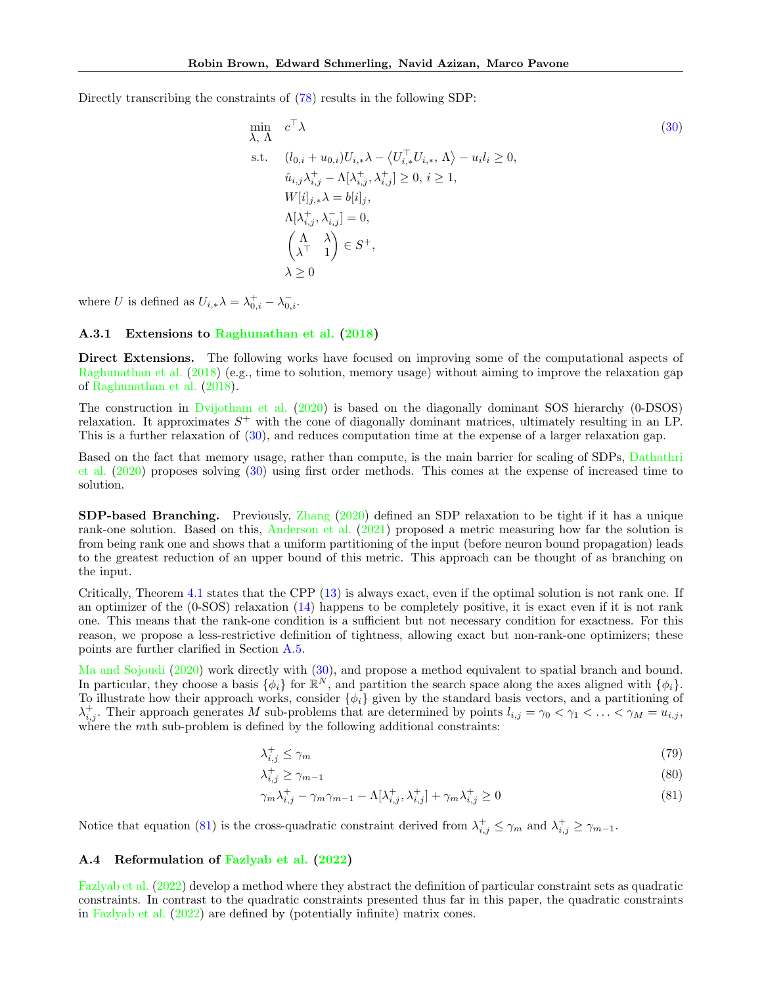Directly transcribing the constraints of  $(78)$  results in the following SDP:

$$
\min_{\lambda, \Lambda} c^{\top} \lambda
$$
\n
$$
\text{s.t.} \quad (l_{0,i} + u_{0,i}) U_{i,*} \lambda - \langle U_{i,*}^{\top} U_{i,*}, \Lambda \rangle - u_i l_i \ge 0,
$$
\n
$$
\hat{u}_{i,j} \lambda_{i,j}^+ - \Lambda[\lambda_{i,j}^+, \lambda_{i,j}^+] \ge 0, \ i \ge 1,
$$
\n
$$
W[i]_{j,*} \lambda = b[i]_j,
$$
\n
$$
\Lambda[\lambda_{i,j}^+, \lambda_{i,j}^-] = 0,
$$
\n
$$
\begin{pmatrix} \Lambda & \lambda \\ \lambda^{\top} & 1 \end{pmatrix} \in S^+,
$$
\n
$$
\lambda \ge 0
$$
\n
$$
(30)
$$

where U is defined as  $U_{i,*}\lambda = \lambda_{0,i}^+ - \lambda_{0,i}^-$ .

### A.3.1 Extensions to [Raghunathan et al.](#page-10-8) [\(2018\)](#page-10-8)

Direct Extensions. The following works have focused on improving some of the computational aspects of [Raghunathan et al.](#page-10-8) [\(2018\)](#page-10-8) (e.g., time to solution, memory usage) without aiming to improve the relaxation gap of [Raghunathan et al.](#page-10-8) [\(2018\)](#page-10-8).

The construction in [Dvijotham et al.](#page-9-16) [\(2020\)](#page-9-16) is based on the diagonally dominant SOS hierarchy (0-DSOS) relaxation. It approximates  $S^+$  with the cone of diagonally dominant matrices, ultimately resulting in an LP. This is a further relaxation of [\(30\)](#page-6-1), and reduces computation time at the expense of a larger relaxation gap.

Based on the fact that memory usage, rather than compute, is the main barrier for scaling of SDPs, [Dathathri](#page-9-11) [et al.](#page-9-11) [\(2020\)](#page-9-11) proposes solving [\(30\)](#page-6-1) using first order methods. This comes at the expense of increased time to solution.

SDP-based Branching. Previously, [Zhang](#page-10-11) [\(2020\)](#page-10-11) defined an SDP relaxation to be tight if it has a unique rank-one solution. Based on this, [Anderson et al.](#page-9-12) [\(2021\)](#page-9-12) proposed a metric measuring how far the solution is from being rank one and shows that a uniform partitioning of the input (before neuron bound propagation) leads to the greatest reduction of an upper bound of this metric. This approach can be thought of as branching on the input.

Critically, Theorem [4.1](#page-3-3) states that the CPP [\(13\)](#page-3-4) is always exact, even if the optimal solution is not rank one. If an optimizer of the (0-SOS) relaxation [\(14\)](#page-4-1) happens to be completely positive, it is exact even if it is not rank one. This means that the rank-one condition is a sufficient but not necessary condition for exactness. For this reason, we propose a less-restrictive definition of tightness, allowing exact but non-rank-one optimizers; these points are further clarified in Section [A.5.](#page-20-0)

[Ma and Sojoudi](#page-9-13) [\(2020\)](#page-9-13) work directly with [\(30\)](#page-6-1), and propose a method equivalent to spatial branch and bound. In particular, they choose a basis  $\{\phi_i\}$  for  $\mathbb{R}^N$ , and partition the search space along the axes aligned with  $\{\phi_i\}$ . To illustrate how their approach works, consider  $\{\phi_i\}$  given by the standard basis vectors, and a partitioning of  $\lambda_{i,j}^+$ . Their approach generates M sub-problems that are determined by points  $l_{i,j} = \gamma_0 < \gamma_1 < \ldots < \gamma_M = u_{i,j}$ , where the *mth* sub-problem is defined by the following additional constraints:

$$
\lambda_{i,j}^+ \le \gamma_m \tag{79}
$$

$$
\lambda_{i,j}^+ \ge \gamma_{m-1} \tag{80}
$$

<span id="page-16-0"></span>
$$
\gamma_m \lambda_{i,j}^+ - \gamma_m \gamma_{m-1} - \Lambda[\lambda_{i,j}^+, \lambda_{i,j}^+] + \gamma_m \lambda_{i,j}^+ \ge 0
$$
\n
$$
(81)
$$

Notice that equation [\(81\)](#page-16-0) is the cross-quadratic constraint derived from  $\lambda_{i,j}^+ \leq \gamma_m$  and  $\lambda_{i,j}^+ \geq \gamma_{m-1}$ .

#### A.4 Reformulation of [Fazlyab et al.](#page-9-14) [\(2022\)](#page-9-14)

[Fazlyab et al.](#page-9-14) [\(2022\)](#page-9-14) develop a method where they abstract the definition of particular constraint sets as quadratic constraints. In contrast to the quadratic constraints presented thus far in this paper, the quadratic constraints in [Fazlyab et al.](#page-9-14) [\(2022\)](#page-9-14) are defined by (potentially infinite) matrix cones.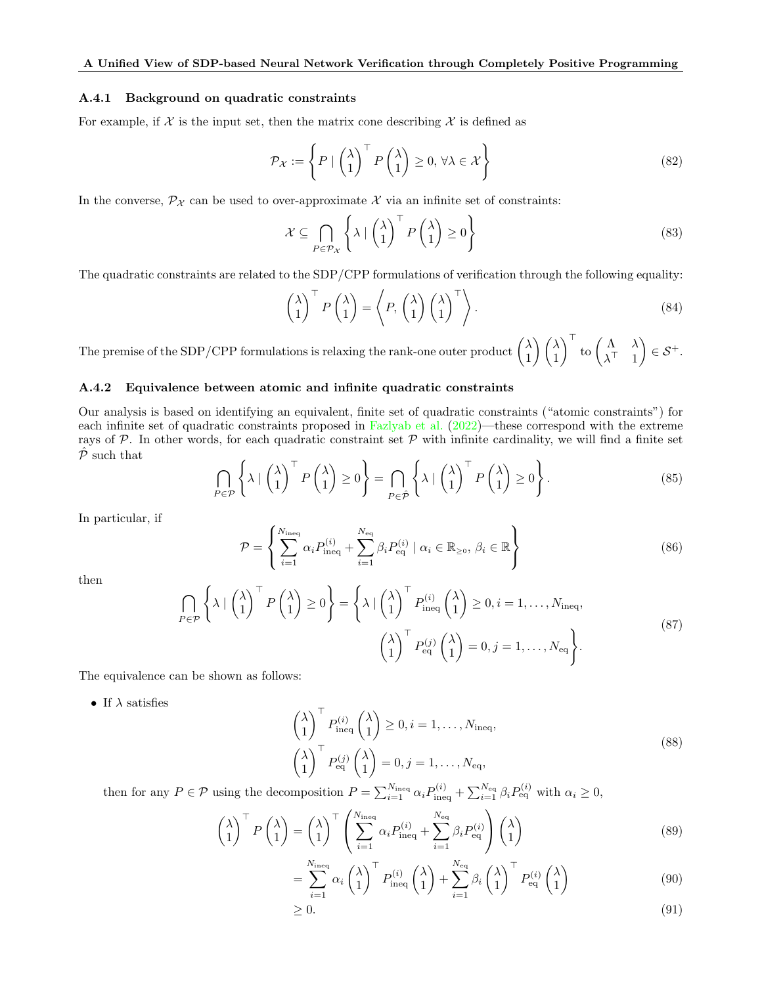#### A.4.1 Background on quadratic constraints

For example, if  $\mathcal X$  is the input set, then the matrix cone describing  $\mathcal X$  is defined as

$$
\mathcal{P}_{\mathcal{X}} := \left\{ P \mid \begin{pmatrix} \lambda \\ 1 \end{pmatrix}^{\top} P \begin{pmatrix} \lambda \\ 1 \end{pmatrix} \ge 0, \forall \lambda \in \mathcal{X} \right\}
$$
(82)

In the converse,  $\mathcal{P}_{\mathcal{X}}$  can be used to over-approximate  $\mathcal{X}$  via an infinite set of constraints:

$$
\mathcal{X} \subseteq \bigcap_{P \in \mathcal{P}_{\mathcal{X}}} \left\{ \lambda \mid \begin{pmatrix} \lambda \\ 1 \end{pmatrix}^{\top} P \begin{pmatrix} \lambda \\ 1 \end{pmatrix} \ge 0 \right\} \tag{83}
$$

The quadratic constraints are related to the SDP/CPP formulations of verification through the following equality:

$$
\begin{pmatrix} \lambda \\ 1 \end{pmatrix}^{\top} P \begin{pmatrix} \lambda \\ 1 \end{pmatrix} = \left\langle P, \begin{pmatrix} \lambda \\ 1 \end{pmatrix} \begin{pmatrix} \lambda \\ 1 \end{pmatrix}^{\top} \right\rangle.
$$
 (84)

The premise of the SDP/CPP formulations is relaxing the rank-one outer product  $\begin{pmatrix} \lambda & 1 \\ 1 & 1 \end{pmatrix}$ 1  $\setminus/\lambda$ 1  $\int_{0}^{\infty}$  to  $\begin{pmatrix} \Lambda & \lambda \\ \Lambda^{\top} & 1 \end{pmatrix}$  $\lambda^{\top}$  1  $\Big) \in \mathcal{S}^+.$ 

### A.4.2 Equivalence between atomic and infinite quadratic constraints

Our analysis is based on identifying an equivalent, finite set of quadratic constraints ("atomic constraints") for each infinite set of quadratic constraints proposed in [Fazlyab et al.](#page-9-14) [\(2022\)](#page-9-14)—these correspond with the extreme rays of  $P$ . In other words, for each quadratic constraint set  $P$  with infinite cardinality, we will find a finite set  $\hat{\mathcal{P}}$  such that

$$
\bigcap_{P \in \mathcal{P}} \left\{ \lambda \mid \begin{pmatrix} \lambda \\ 1 \end{pmatrix}^{\top} P \begin{pmatrix} \lambda \\ 1 \end{pmatrix} \ge 0 \right\} = \bigcap_{P \in \hat{\mathcal{P}}} \left\{ \lambda \mid \begin{pmatrix} \lambda \\ 1 \end{pmatrix}^{\top} P \begin{pmatrix} \lambda \\ 1 \end{pmatrix} \ge 0 \right\}.
$$
 (85)

In particular, if

$$
\mathcal{P} = \left\{ \sum_{i=1}^{N_{\text{ineq}}} \alpha_i P_{\text{ineq}}^{(i)} + \sum_{i=1}^{N_{\text{eq}}} \beta_i P_{\text{eq}}^{(i)} \mid \alpha_i \in \mathbb{R}_{\geq 0}, \beta_i \in \mathbb{R} \right\}
$$
\n(86)

then

$$
\bigcap_{P \in \mathcal{P}} \left\{ \lambda \mid \begin{pmatrix} \lambda \\ 1 \end{pmatrix}^{\top} P \begin{pmatrix} \lambda \\ 1 \end{pmatrix} \ge 0 \right\} = \left\{ \lambda \mid \begin{pmatrix} \lambda \\ 1 \end{pmatrix}^{\top} P_{\text{ineq}}^{(i)} \begin{pmatrix} \lambda \\ 1 \end{pmatrix} \ge 0, i = 1, \dots, N_{\text{ineq}}, \begin{pmatrix} \lambda \\ 1 \end{pmatrix} \mid P_{\text{eq}}^{(j)} \begin{pmatrix} \lambda \\ 1 \end{pmatrix} = 0, j = 1, \dots, N_{\text{eq}} \right\}.
$$
\n(87)

The equivalence can be shown as follows:

• If  $\lambda$  satisfies

$$
\begin{pmatrix}\n\lambda \\
1\n\end{pmatrix}^{\top} P_{\text{ineq}}^{(i)} \begin{pmatrix}\n\lambda \\
1\n\end{pmatrix} \ge 0, i = 1, ..., N_{\text{ineq}},
$$
\n
$$
\begin{pmatrix}\n\lambda \\
1\n\end{pmatrix}^{\top} P_{\text{eq}}^{(j)} \begin{pmatrix}\n\lambda \\
1\n\end{pmatrix} = 0, j = 1, ..., N_{\text{eq}},
$$
\n(88)

then for any  $P \in \mathcal{P}$  using the decomposition  $P = \sum_{i=1}^{N_{\text{ineq}}} \alpha_i P_{\text{ineq}}^{(i)} + \sum_{i=1}^{N_{\text{eq}}} \beta_i P_{\text{eq}}^{(i)}$  with  $\alpha_i \geq 0$ ,

$$
\begin{pmatrix} \lambda \\ 1 \end{pmatrix}^{\top} P \begin{pmatrix} \lambda \\ 1 \end{pmatrix} = \begin{pmatrix} \lambda \\ 1 \end{pmatrix}^{\top} \begin{pmatrix} N_{\text{ineq}} \\ \sum_{i=1}^{N_{\text{ineq}}} \alpha_i P_{\text{ineq}}^{(i)} + \sum_{i=1}^{N_{\text{eq}}} \beta_i P_{\text{eq}}^{(i)} \end{pmatrix} \begin{pmatrix} \lambda \\ 1 \end{pmatrix} \tag{89}
$$

$$
= \sum_{i=1}^{N_{\text{ineq}}} \alpha_i \begin{pmatrix} \lambda \\ 1 \end{pmatrix}^\top P_{\text{ineq}}^{(i)} \begin{pmatrix} \lambda \\ 1 \end{pmatrix} + \sum_{i=1}^{N_{\text{eq}}} \beta_i \begin{pmatrix} \lambda \\ 1 \end{pmatrix}^\top P_{\text{eq}}^{(i)} \begin{pmatrix} \lambda \\ 1 \end{pmatrix} \tag{90}
$$

$$
\geq 0.\tag{91}
$$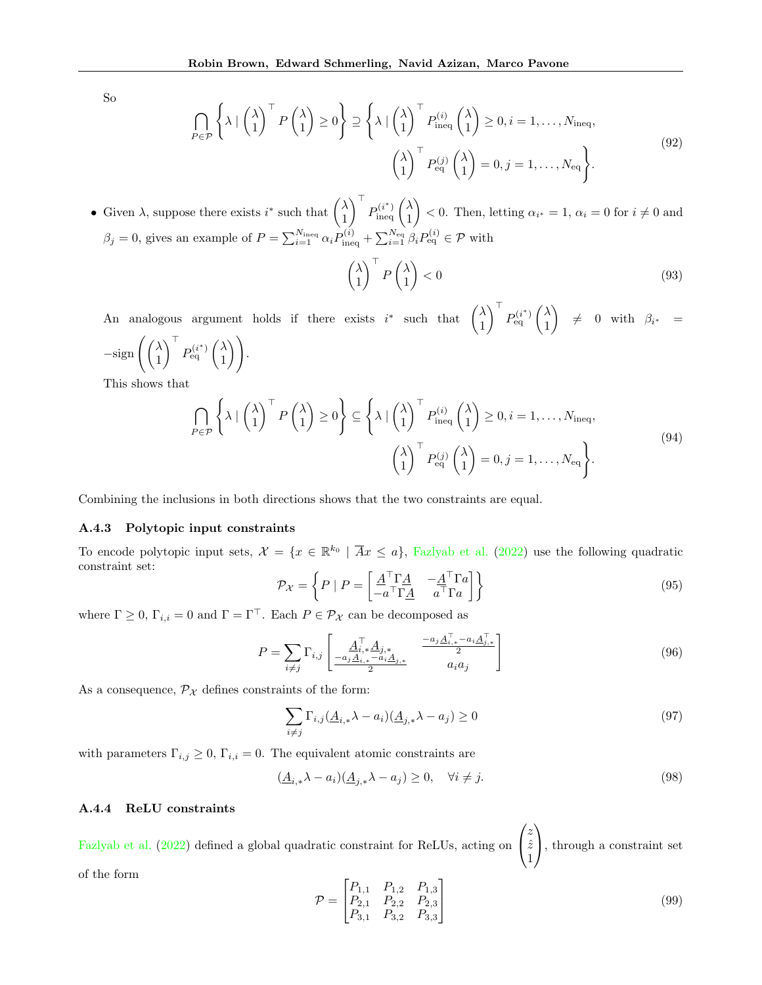So

$$
\bigcap_{P \in \mathcal{P}} \left\{ \lambda \mid \begin{pmatrix} \lambda \\ 1 \end{pmatrix}^{\top} P \begin{pmatrix} \lambda \\ 1 \end{pmatrix} \ge 0 \right\} \supseteq \left\{ \lambda \mid \begin{pmatrix} \lambda \\ 1 \end{pmatrix}^{\top} P_{\text{ineq}}^{(i)} \begin{pmatrix} \lambda \\ 1 \end{pmatrix} \ge 0, i = 1, \dots, N_{\text{ineq}}, \begin{pmatrix} \lambda \\ 1 \end{pmatrix} \mid P_{\text{eq}}^{(j)} \begin{pmatrix} \lambda \\ 1 \end{pmatrix} = 0, j = 1, \dots, N_{\text{eq}} \right\}.
$$
\n(92)

• Given  $\lambda$ , suppose there exists  $i^*$  such that  $\begin{pmatrix} \lambda & 1 \\ 1 & 1 \end{pmatrix}$ 1  $\bigcap_{i=1}^{n} P_{\text{ineq}}^{(i^*)} \bigg({}^{\lambda}_1$ 1  $\Big\} < 0.$  Then, letting  $\alpha_{i^*} = 1, \alpha_i = 0$  for  $i \neq 0$  and  $\beta_j = 0$ , gives an example of  $P = \sum_{i=1}^{N_{\text{ineq}}} \alpha_i P_{\text{ineq}}^{(i)} + \sum_{i=1}^{N_{\text{eq}}} \beta_i P_{\text{eq}}^{(i)} \in \mathcal{P}$  with

$$
\begin{pmatrix} \lambda \\ 1 \end{pmatrix}^\top P \begin{pmatrix} \lambda \\ 1 \end{pmatrix} < 0 \tag{93}
$$

An analogous argument holds if there exists  $i^*$  such that  $\begin{pmatrix} \lambda & 1 \\ 1 & \lambda \end{pmatrix}$ 1  $\bigcap^{\top} P_{\text{eq}}^{(i^*)} \bigg ( \frac{\lambda}{1}$ 1  $\Big)$   $\neq$  0 with  $\beta_{i^*}$  =  $-\text{sign}\left(\begin{pmatrix} \lambda \\ 1 \end{pmatrix}\right)$ 1  $\bigcap^{\top} P_{\text{eq}}^{(i^*)} \bigg ( \begin{smallmatrix} \lambda \ 1 \end{smallmatrix}$ 1  $\bigg)$ .

This shows that

$$
\bigcap_{P \in \mathcal{P}} \left\{ \lambda \mid \begin{pmatrix} \lambda \\ 1 \end{pmatrix}^{\top} P \begin{pmatrix} \lambda \\ 1 \end{pmatrix} \ge 0 \right\} \subseteq \left\{ \lambda \mid \begin{pmatrix} \lambda \\ 1 \end{pmatrix}^{\top} P_{\text{ineq}}^{(i)} \begin{pmatrix} \lambda \\ 1 \end{pmatrix} \ge 0, i = 1, \dots, N_{\text{ineq}}, \begin{pmatrix} \lambda \\ 1 \end{pmatrix} \right\}.
$$
\n
$$
\left( \begin{pmatrix} \lambda \\ 1 \end{pmatrix}^{\top} P_{\text{eq}}^{(j)} \begin{pmatrix} \lambda \\ 1 \end{pmatrix} = 0, j = 1, \dots, N_{\text{eq}} \right\}.
$$
\n(94)

Combining the inclusions in both directions shows that the two constraints are equal.

#### A.4.3 Polytopic input constraints

To encode polytopic input sets,  $\mathcal{X} = \{x \in \mathbb{R}^{k_0} \mid \overline{A}x \leq a\}$ , [Fazlyab et al.](#page-9-14) [\(2022\)](#page-9-14) use the following quadratic constraint set:

$$
\mathcal{P}_{\mathcal{X}} = \left\{ P \mid P = \begin{bmatrix} \frac{A^{\top} \Gamma A}{-a^{\top} \Gamma A} & -\frac{A^{\top} \Gamma a}{-a^{\top} \Gamma a} \end{bmatrix} \right\}
$$
(95)

where  $\Gamma \geq 0$ ,  $\Gamma_{i,i} = 0$  and  $\Gamma = \Gamma^{\top}$ . Each  $P \in \mathcal{P}_{\mathcal{X}}$  can be decomposed as

$$
P = \sum_{i \neq j} \Gamma_{i,j} \left[ \frac{A_{i,*}^\top A_{j,*}}{-a_j A_{i,*} - a_i A_{j,*}^\top} \frac{-a_j A_{i,*}^\top - a_i A_{j,*}^\top}{2} \right] \tag{96}
$$

As a consequence,  $\mathcal{P}_{\mathcal{X}}$  defines constraints of the form:

$$
\sum_{i \neq j} \Gamma_{i,j} (\underline{A}_{i,*} \lambda - a_i) (\underline{A}_{j,*} \lambda - a_j) \ge 0
$$
\n(97)

with parameters  $\Gamma_{i,j} \geq 0$ ,  $\Gamma_{i,i} = 0$ . The equivalent atomic constraints are

$$
(\underline{A}_{i,*}\lambda - a_i)(\underline{A}_{j,*}\lambda - a_j) \ge 0, \quad \forall i \ne j. \tag{98}
$$

## A.4.4 ReLU constraints

[Fazlyab et al.](#page-9-14) [\(2022\)](#page-9-14) defined a global quadratic constraint for ReLUs, acting on  $\sqrt{ }$  $\mathcal{L}$ z  $\hat{z}$ 1  $\setminus$ , through a constraint set of the form

$$
\mathcal{P} = \begin{bmatrix} P_{1,1} & P_{1,2} & P_{1,3} \\ P_{2,1} & P_{2,2} & P_{2,3} \\ P_{3,1} & P_{3,2} & P_{3,3} \end{bmatrix}
$$
\n(99)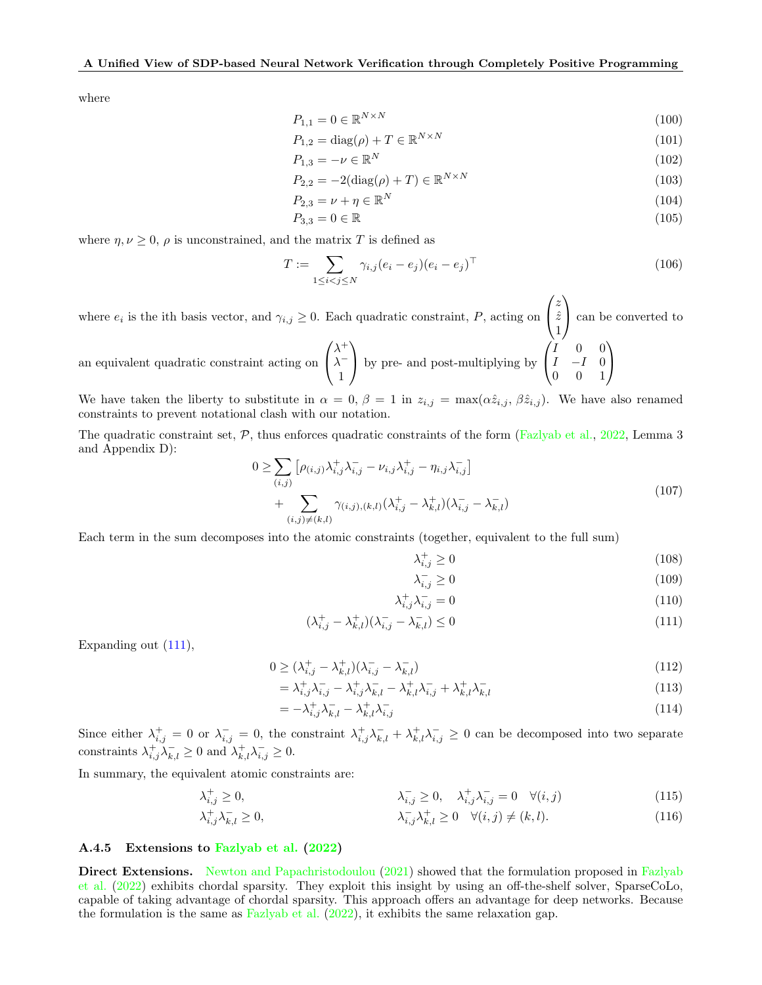where

$$
P_{1,1} = 0 \in \mathbb{R}^{N \times N} \tag{100}
$$

$$
P_{1,2} = \text{diag}(\rho) + T \in \mathbb{R}^{N \times N} \tag{101}
$$

$$
P_{1,3} = -\nu \in \mathbb{R}^N \tag{102}
$$

$$
P_{2,2} = -2(\text{diag}(\rho) + T) \in \mathbb{R}^{N \times N}
$$
\n
$$
(103)
$$

$$
P_{2,3} = \nu + \eta \in \mathbb{R}^N \tag{104}
$$

$$
P_{3,3} = 0 \in \mathbb{R} \tag{105}
$$

where  $\eta, \nu \geq 0$ ,  $\rho$  is unconstrained, and the matrix T is defined as

$$
T := \sum_{1 \le i < j \le N} \gamma_{i,j} (e_i - e_j)(e_i - e_j)^\top \tag{106}
$$

where  $e_i$  is the ith basis vector, and  $\gamma_{i,j} \geq 0$ . Each quadratic constraint, P, acting on  $\sqrt{ }$  $\mathcal{L}$ z  $\hat{z}$ 1  $\setminus$  can be converted to  $\sqrt{ }$  $\lambda^+$  $\setminus$  $\sqrt{ }$ I 0 0  $\setminus$ 

an equivalent quadratic constraint acting on  $\mathcal{L}$  $\lambda^-$ 1 by pre- and post-multiplying by  $\mathcal{L}$  $I \quad -I \quad 0$ 0 0 1  $\overline{1}$ 

We have taken the liberty to substitute in  $\alpha = 0$ ,  $\beta = 1$  in  $z_{i,j} = \max(\alpha \hat{z}_{i,j}, \beta \hat{z}_{i,j})$ . We have also renamed constraints to prevent notational clash with our notation.

The quadratic constraint set,  $\mathcal{P}$ , thus enforces quadratic constraints of the form [\(Fazlyab et al.,](#page-9-14) [2022,](#page-9-14) Lemma 3 and Appendix D):

$$
0 \geq \sum_{(i,j)} \left[ \rho_{(i,j)} \lambda_{i,j}^+ \lambda_{i,j}^- - \nu_{i,j} \lambda_{i,j}^+ - \eta_{i,j} \lambda_{i,j}^- \right]
$$
  
+ 
$$
\sum_{(i,j) \neq (k,l)} \gamma_{(i,j),(k,l)} (\lambda_{i,j}^+ - \lambda_{k,l}^+) (\lambda_{i,j}^- - \lambda_{k,l}^-)
$$
 (107)

Each term in the sum decomposes into the atomic constraints (together, equivalent to the full sum)

$$
\lambda_{i,j}^+ \ge 0 \tag{108}
$$

<span id="page-19-0"></span>
$$
\lambda_{i,j}^- \ge 0 \tag{109}
$$

$$
\lambda_{i,j}^+ \lambda_{i,j}^- = 0 \tag{110}
$$

$$
(\lambda_{i,j}^+ - \lambda_{k,l}^+) (\lambda_{i,j}^- - \lambda_{k,l}^-) \le 0
$$
\n(111)

Expanding out [\(111\)](#page-19-0),

$$
0 \ge (\lambda_{i,j}^+ - \lambda_{k,l}^+) (\lambda_{i,j}^- - \lambda_{k,l}^-)
$$
\n
$$
(112)
$$

$$
= \lambda_{i,j}^+ \lambda_{i,j}^- - \lambda_{i,j}^+ \lambda_{k,l}^- - \lambda_{k,l}^+ \lambda_{i,j}^- + \lambda_{k,l}^+ \lambda_{k,l}^- \tag{113}
$$

$$
= -\lambda_{i,j}^+ \lambda_{k,l}^- - \lambda_{k,l}^+ \lambda_{i,j}^- \tag{114}
$$

Since either  $\lambda_{i,j}^+ = 0$  or  $\lambda_{i,j}^- = 0$ , the constraint  $\lambda_{i,j}^+ \lambda_{k,l}^- + \lambda_{k,l}^+ \lambda_{i,j}^- \geq 0$  can be decomposed into two separate constraints  $\lambda_{i,j}^+ \lambda_{k,l}^- \geq 0$  and  $\lambda_{k,l}^+ \lambda_{i,j}^- \geq 0$ .

In summary, the equivalent atomic constraints are:

$$
\lambda_{i,j}^{+} \geq 0, \qquad \lambda_{i,j}^{-} \geq 0, \qquad \lambda_{i,j}^{+} \lambda_{i,j}^{-} = 0 \quad \forall (i,j)
$$
\n
$$
\lambda_{i,j}^{+} \lambda_{k,l}^{-} \geq 0, \qquad \lambda_{i,j}^{-} \lambda_{k,l}^{+} \geq 0 \quad \forall (i,j) \neq (k,l). \tag{116}
$$

$$
\overline{\lambda}_{i,j} \lambda_{k,l}^+ \ge 0 \quad \forall (i,j) \ne (k,l). \tag{116}
$$

### A.4.5 Extensions to [Fazlyab et al.](#page-9-14) [\(2022\)](#page-9-14)

Direct Extensions. [Newton and Papachristodoulou](#page-9-15) [\(2021\)](#page-9-15) showed that the formulation proposed in [Fazlyab](#page-9-14) [et al.](#page-9-14) [\(2022\)](#page-9-14) exhibits chordal sparsity. They exploit this insight by using an off-the-shelf solver, SparseCoLo, capable of taking advantage of chordal sparsity. This approach offers an advantage for deep networks. Because the formulation is the same as [Fazlyab et al.](#page-9-14)  $(2022)$ , it exhibits the same relaxation gap.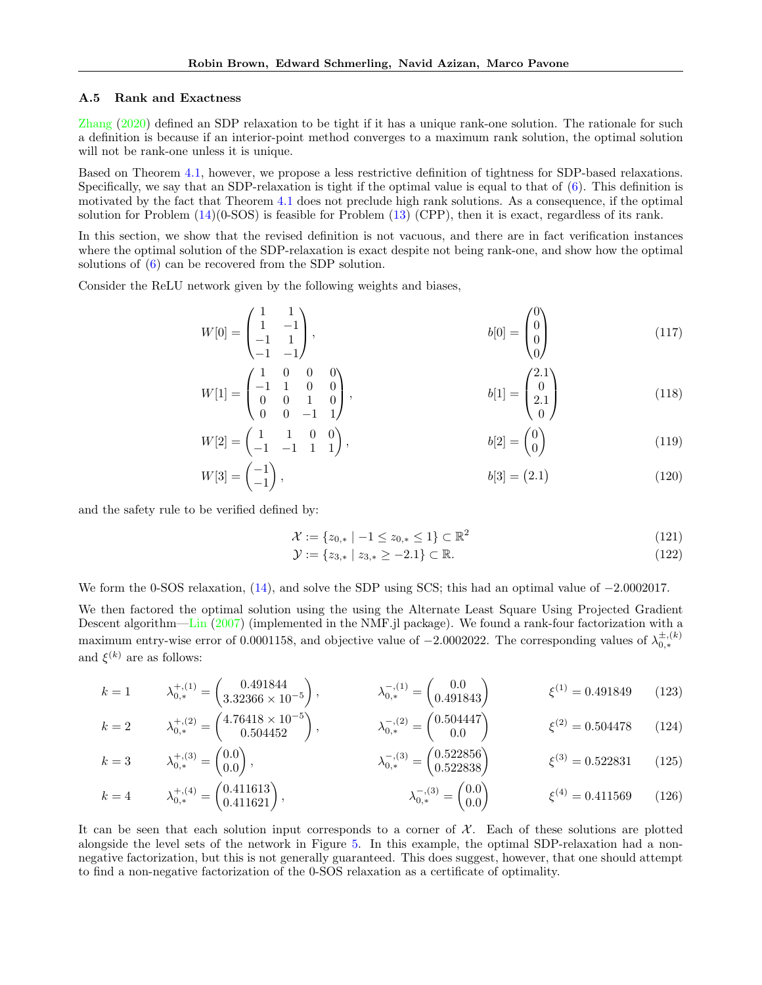#### <span id="page-20-0"></span>A.5 Rank and Exactness

[Zhang](#page-10-11) [\(2020\)](#page-10-11) defined an SDP relaxation to be tight if it has a unique rank-one solution. The rationale for such a definition is because if an interior-point method converges to a maximum rank solution, the optimal solution will not be rank-one unless it is unique.

Based on Theorem [4.1,](#page-3-3) however, we propose a less restrictive definition of tightness for SDP-based relaxations. Specifically, we say that an SDP-relaxation is tight if the optimal value is equal to that of [\(6\)](#page-2-0). This definition is motivated by the fact that Theorem [4.1](#page-3-3) does not preclude high rank solutions. As a consequence, if the optimal solution for Problem [\(14\)](#page-4-1)(0-SOS) is feasible for Problem [\(13\)](#page-3-4) (CPP), then it is exact, regardless of its rank.

In this section, we show that the revised definition is not vacuous, and there are in fact verification instances where the optimal solution of the SDP-relaxation is exact despite not being rank-one, and show how the optimal solutions of [\(6\)](#page-2-0) can be recovered from the SDP solution.

Consider the ReLU network given by the following weights and biases,

$$
W[0] = \begin{pmatrix} 1 & 1 \\ 1 & -1 \\ -1 & 1 \\ -1 & -1 \end{pmatrix}, \qquad b[0] = \begin{pmatrix} 0 \\ 0 \\ 0 \\ 0 \end{pmatrix} \tag{117}
$$

$$
W[1] = \begin{pmatrix} 1 & 0 & 0 & 0 \\ -1 & 1 & 0 & 0 \\ 0 & 0 & 1 & 0 \\ 0 & 0 & -1 & 1 \end{pmatrix}, \qquad b[1] = \begin{pmatrix} 2.1 \\ 0 \\ 2.1 \\ 0 \end{pmatrix}
$$
 (118)

$$
W[2] = \begin{pmatrix} 1 & 1 & 0 & 0 \\ -1 & -1 & 1 & 1 \end{pmatrix}, \qquad b[2] = \begin{pmatrix} 0 \\ 0 \end{pmatrix} \tag{119}
$$

$$
W[3] = \begin{pmatrix} -1 \\ -1 \end{pmatrix}, \t b[3] = (2.1) \t (120)
$$

and the safety rule to be verified defined by:

<span id="page-20-2"></span><span id="page-20-1"></span>
$$
\mathcal{X} := \{ z_{0,*} \mid -1 \le z_{0,*} \le 1 \} \subset \mathbb{R}^2
$$
\n(121)

<span id="page-20-4"></span><span id="page-20-3"></span>
$$
\mathcal{Y} := \{ z_{3,*} \mid z_{3,*} \ge -2.1 \} \subset \mathbb{R}.
$$
\n(122)

We form the 0-SOS relaxation, [\(14\)](#page-4-1), and solve the SDP using SCS; this had an optimal value of −2.0002017.

We then factored the optimal solution using the using the Alternate Least Square Using Projected Gradient Descent algorithm[—Lin](#page-9-23) [\(2007\)](#page-9-23) (implemented in the NMF.jl package). We found a rank-four factorization with a maximum entry-wise error of 0.0001158, and objective value of  $-2.0002022$ . The corresponding values of  $\lambda_{0,*}^{\pm,(k)}$ and  $\xi^{(k)}$  are as follows:

$$
k = 1 \qquad \lambda_{0,*}^{+, (1)} = \begin{pmatrix} 0.491844 \\ 3.32366 \times 10^{-5} \end{pmatrix}, \qquad \lambda_{0,*}^{-, (1)} = \begin{pmatrix} 0.0 \\ 0.491843 \end{pmatrix} \qquad \xi^{(1)} = 0.491849 \qquad (123)
$$

$$
k = 2 \qquad \lambda_{0,*}^{+, (2)} = \begin{pmatrix} 4.76418 \times 10^{-5} \\ 0.504452 \end{pmatrix}, \qquad \lambda_{0,*}^{-, (2)} = \begin{pmatrix} 0.504447 \\ 0.0 \end{pmatrix} \qquad \xi^{(2)} = 0.504478 \qquad (124)
$$

$$
k = 3 \qquad \lambda_{0,*}^{+, (3)} = \begin{pmatrix} 0.0 \\ 0.0 \end{pmatrix}, \qquad \lambda_{0,*}^{-, (3)} = \begin{pmatrix} 0.522856 \\ 0.522838 \end{pmatrix} \qquad \xi^{(3)} = 0.522831 \qquad (125)
$$

$$
k = 4 \qquad \lambda_{0,*}^{+, (4)} = \begin{pmatrix} 0.411613 \\ 0.411621 \end{pmatrix}, \qquad \lambda_{0,*}^{-, (3)} = \begin{pmatrix} 0.0 \\ 0.0 \end{pmatrix} \qquad \xi^{(4)} = 0.411569 \qquad (126)
$$

It can be seen that each solution input corresponds to a corner of  $\mathcal{X}$ . Each of these solutions are plotted alongside the level sets of the network in Figure [5.](#page-21-0) In this example, the optimal SDP-relaxation had a nonnegative factorization, but this is not generally guaranteed. This does suggest, however, that one should attempt to find a non-negative factorization of the 0-SOS relaxation as a certificate of optimality.